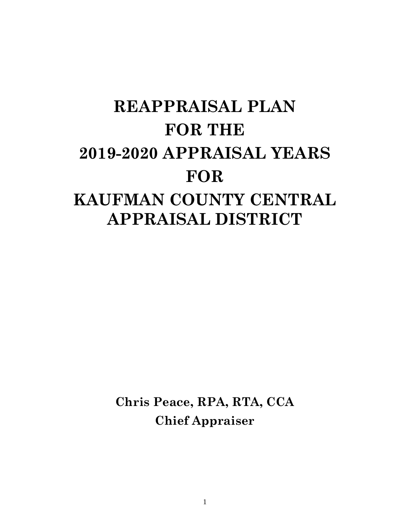# **REAPPRAISAL PLAN FOR THE 2019-2020 APPRAISAL YEARS FOR KAUFMAN COUNTY CENTRAL APPRAISAL DISTRICT**

**Chris Peace, RPA, RTA, CCA Chief Appraiser**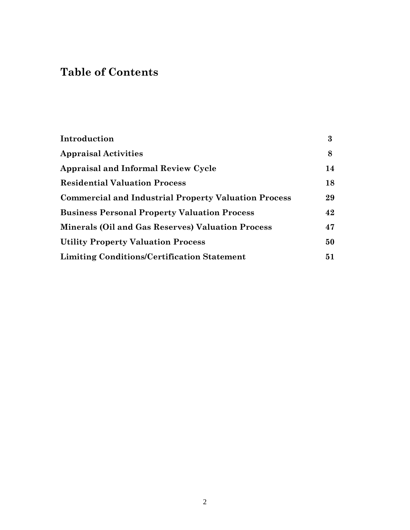# **Table of Contents**

| Introduction                                                | 3  |
|-------------------------------------------------------------|----|
| <b>Appraisal Activities</b>                                 | 8  |
| <b>Appraisal and Informal Review Cycle</b>                  | 14 |
| <b>Residential Valuation Process</b>                        | 18 |
| <b>Commercial and Industrial Property Valuation Process</b> | 29 |
| <b>Business Personal Property Valuation Process</b>         | 42 |
| <b>Minerals (Oil and Gas Reserves) Valuation Process</b>    | 47 |
| <b>Utility Property Valuation Process</b>                   | 50 |
| <b>Limiting Conditions/Certification Statement</b>          | 51 |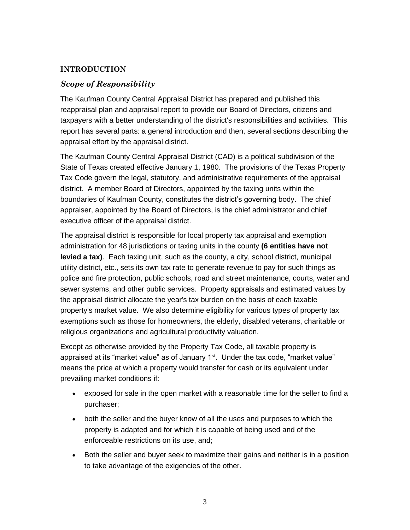# **INTRODUCTION**

# *Scope of Responsibility*

The Kaufman County Central Appraisal District has prepared and published this reappraisal plan and appraisal report to provide our Board of Directors, citizens and taxpayers with a better understanding of the district's responsibilities and activities. This report has several parts: a general introduction and then, several sections describing the appraisal effort by the appraisal district.

The Kaufman County Central Appraisal District (CAD) is a political subdivision of the State of Texas created effective January 1, 1980. The provisions of the Texas Property Tax Code govern the legal, statutory, and administrative requirements of the appraisal district. A member Board of Directors, appointed by the taxing units within the boundaries of Kaufman County, constitutes the district's governing body. The chief appraiser, appointed by the Board of Directors, is the chief administrator and chief executive officer of the appraisal district.

The appraisal district is responsible for local property tax appraisal and exemption administration for 48 jurisdictions or taxing units in the county **(6 entities have not levied a tax)**. Each taxing unit, such as the county, a city, school district, municipal utility district, etc., sets its own tax rate to generate revenue to pay for such things as police and fire protection, public schools, road and street maintenance, courts, water and sewer systems, and other public services. Property appraisals and estimated values by the appraisal district allocate the year's tax burden on the basis of each taxable property's market value. We also determine eligibility for various types of property tax exemptions such as those for homeowners, the elderly, disabled veterans, charitable or religious organizations and agricultural productivity valuation.

Except as otherwise provided by the Property Tax Code, all taxable property is appraised at its "market value" as of January 1<sup>st</sup>. Under the tax code, "market value" means the price at which a property would transfer for cash or its equivalent under prevailing market conditions if:

- exposed for sale in the open market with a reasonable time for the seller to find a purchaser;
- both the seller and the buyer know of all the uses and purposes to which the property is adapted and for which it is capable of being used and of the enforceable restrictions on its use, and;
- Both the seller and buyer seek to maximize their gains and neither is in a position to take advantage of the exigencies of the other.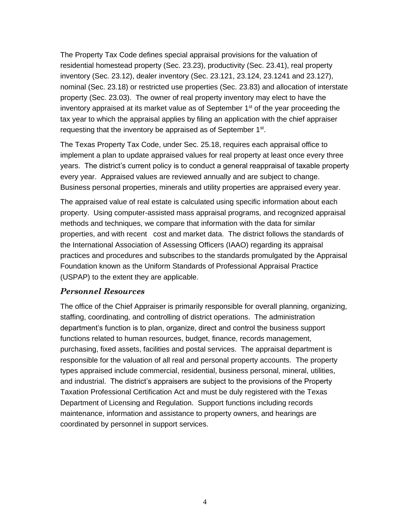The Property Tax Code defines special appraisal provisions for the valuation of residential homestead property (Sec. 23.23), productivity (Sec. 23.41), real property inventory (Sec. 23.12), dealer inventory (Sec. 23.121, 23.124, 23.1241 and 23.127), nominal (Sec. 23.18) or restricted use properties (Sec. 23.83) and allocation of interstate property (Sec. 23.03). The owner of real property inventory may elect to have the inventory appraised at its market value as of September  $1<sup>st</sup>$  of the year proceeding the tax year to which the appraisal applies by filing an application with the chief appraiser requesting that the inventory be appraised as of September 1<sup>st</sup>.

The Texas Property Tax Code, under Sec. 25.18, requires each appraisal office to implement a plan to update appraised values for real property at least once every three years. The district's current policy is to conduct a general reappraisal of taxable property every year. Appraised values are reviewed annually and are subject to change. Business personal properties, minerals and utility properties are appraised every year.

The appraised value of real estate is calculated using specific information about each property. Using computer-assisted mass appraisal programs, and recognized appraisal methods and techniques, we compare that information with the data for similar properties, and with recent cost and market data. The district follows the standards of the International Association of Assessing Officers (IAAO) regarding its appraisal practices and procedures and subscribes to the standards promulgated by the Appraisal Foundation known as the Uniform Standards of Professional Appraisal Practice (USPAP) to the extent they are applicable.

#### *Personnel Resources*

The office of the Chief Appraiser is primarily responsible for overall planning, organizing, staffing, coordinating, and controlling of district operations. The administration department's function is to plan, organize, direct and control the business support functions related to human resources, budget, finance, records management, purchasing, fixed assets, facilities and postal services. The appraisal department is responsible for the valuation of all real and personal property accounts. The property types appraised include commercial, residential, business personal, mineral, utilities, and industrial. The district's appraisers are subject to the provisions of the Property Taxation Professional Certification Act and must be duly registered with the Texas Department of Licensing and Regulation. Support functions including records maintenance, information and assistance to property owners, and hearings are coordinated by personnel in support services.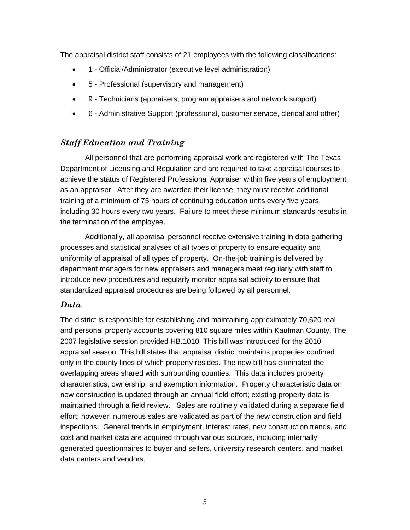The appraisal district staff consists of 21 employees with the following classifications:

- 1 Official/Administrator (executive level administration)
- 5 Professional (supervisory and management)
- 9 Technicians (appraisers, program appraisers and network support)
- 6 Administrative Support (professional, customer service, clerical and other)

# *Staff Education and Training*

 All personnel that are performing appraisal work are registered with The Texas Department of Licensing and Regulation and are required to take appraisal courses to achieve the status of Registered Professional Appraiser within five years of employment as an appraiser. After they are awarded their license, they must receive additional training of a minimum of 75 hours of continuing education units every five years, including 30 hours every two years. Failure to meet these minimum standards results in the termination of the employee.

 Additionally, all appraisal personnel receive extensive training in data gathering processes and statistical analyses of all types of property to ensure equality and uniformity of appraisal of all types of property. On-the-job training is delivered by department managers for new appraisers and managers meet regularly with staff to introduce new procedures and regularly monitor appraisal activity to ensure that standardized appraisal procedures are being followed by all personnel.

# *Data*

The district is responsible for establishing and maintaining approximately 70,620 real and personal property accounts covering 810 square miles within Kaufman County. The 2007 legislative session provided HB.1010. This bill was introduced for the 2010 appraisal season. This bill states that appraisal district maintains properties confined only in the county lines of which property resides. The new bill has eliminated the overlapping areas shared with surrounding counties. This data includes property characteristics, ownership, and exemption information. Property characteristic data on new construction is updated through an annual field effort; existing property data is maintained through a field review. Sales are routinely validated during a separate field effort; however, numerous sales are validated as part of the new construction and field inspections. General trends in employment, interest rates, new construction trends, and cost and market data are acquired through various sources, including internally generated questionnaires to buyer and sellers, university research centers, and market data centers and vendors.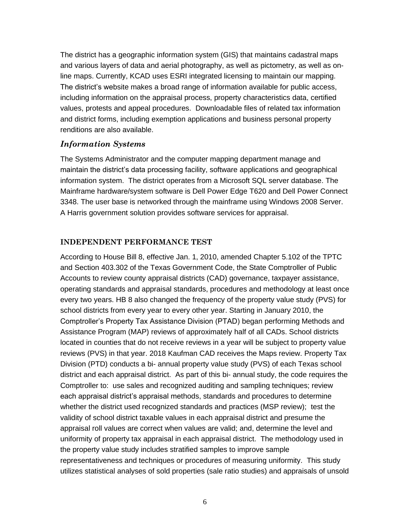The district has a geographic information system (GIS) that maintains cadastral maps and various layers of data and aerial photography, as well as pictometry, as well as online maps. Currently, KCAD uses ESRI integrated licensing to maintain our mapping. The district's website makes a broad range of information available for public access, including information on the appraisal process, property characteristics data, certified values, protests and appeal procedures. Downloadable files of related tax information and district forms, including exemption applications and business personal property renditions are also available.

#### *Information Systems*

The Systems Administrator and the computer mapping department manage and maintain the district's data processing facility, software applications and geographical information system. The district operates from a Microsoft SQL server database. The Mainframe hardware/system software is Dell Power Edge T620 and Dell Power Connect 3348. The user base is networked through the mainframe using Windows 2008 Server. A Harris government solution provides software services for appraisal.

#### **INDEPENDENT PERFORMANCE TEST**

According to House Bill 8, effective Jan. 1, 2010, amended Chapter 5.102 of the TPTC and Section 403.302 of the Texas Government Code, the State Comptroller of Public Accounts to review county appraisal districts (CAD) governance, taxpayer assistance, operating standards and appraisal standards, procedures and methodology at least once every two years. HB 8 also changed the frequency of the property value study (PVS) for school districts from every year to every other year. Starting in January 2010, the Comptroller's Property Tax Assistance Division (PTAD) began performing Methods and Assistance Program (MAP) reviews of approximately half of all CADs. School districts located in counties that do not receive reviews in a year will be subject to property value reviews (PVS) in that year. 2018 Kaufman CAD receives the Maps review. Property Tax Division (PTD) conducts a bi- annual property value study (PVS) of each Texas school district and each appraisal district. As part of this bi- annual study, the code requires the Comptroller to: use sales and recognized auditing and sampling techniques; review each appraisal district's appraisal methods, standards and procedures to determine whether the district used recognized standards and practices (MSP review); test the validity of school district taxable values in each appraisal district and presume the appraisal roll values are correct when values are valid; and, determine the level and uniformity of property tax appraisal in each appraisal district. The methodology used in the property value study includes stratified samples to improve sample representativeness and techniques or procedures of measuring uniformity. This study utilizes statistical analyses of sold properties (sale ratio studies) and appraisals of unsold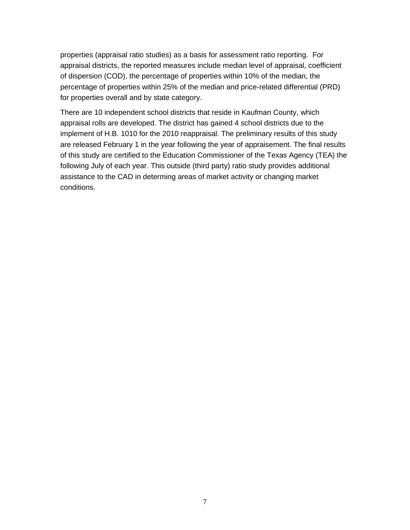properties (appraisal ratio studies) as a basis for assessment ratio reporting. For appraisal districts, the reported measures include median level of appraisal, coefficient of dispersion (COD), the percentage of properties within 10% of the median, the percentage of properties within 25% of the median and price-related differential (PRD) for properties overall and by state category.

There are 10 independent school districts that reside in Kaufman County, which appraisal rolls are developed. The district has gained 4 school districts due to the implement of H.B. 1010 for the 2010 reappraisal. The preliminary results of this study are released February 1 in the year following the year of appraisement. The final results of this study are certified to the Education Commissioner of the Texas Agency (TEA) the following July of each year. This outside (third party) ratio study provides additional assistance to the CAD in determing areas of market activity or changing market conditions.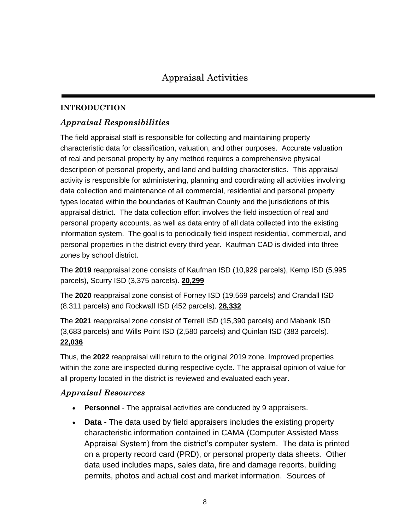# **INTRODUCTION**

# *Appraisal Responsibilities*

The field appraisal staff is responsible for collecting and maintaining property characteristic data for classification, valuation, and other purposes. Accurate valuation of real and personal property by any method requires a comprehensive physical description of personal property, and land and building characteristics. This appraisal activity is responsible for administering, planning and coordinating all activities involving data collection and maintenance of all commercial, residential and personal property types located within the boundaries of Kaufman County and the jurisdictions of this appraisal district. The data collection effort involves the field inspection of real and personal property accounts, as well as data entry of all data collected into the existing information system. The goal is to periodically field inspect residential, commercial, and personal properties in the district every third year. Kaufman CAD is divided into three zones by school district.

The **2019** reappraisal zone consists of Kaufman ISD (10,929 parcels), Kemp ISD (5,995 parcels), Scurry ISD (3,375 parcels). **20,299**

The **2020** reappraisal zone consist of Forney ISD (19,569 parcels) and Crandall ISD (8.311 parcels) and Rockwall ISD (452 parcels). **28,332**

The **2021** reappraisal zone consist of Terrell ISD (15,390 parcels) and Mabank ISD (3,683 parcels) and Wills Point ISD (2,580 parcels) and Quinlan ISD (383 parcels). **22,036**

Thus, the **2022** reappraisal will return to the original 2019 zone. Improved properties within the zone are inspected during respective cycle. The appraisal opinion of value for all property located in the district is reviewed and evaluated each year.

# *Appraisal Resources*

- **Personnel** The appraisal activities are conducted by 9 appraisers.
- **Data** The data used by field appraisers includes the existing property characteristic information contained in CAMA (Computer Assisted Mass Appraisal System) from the district's computer system. The data is printed on a property record card (PRD), or personal property data sheets. Other data used includes maps, sales data, fire and damage reports, building permits, photos and actual cost and market information. Sources of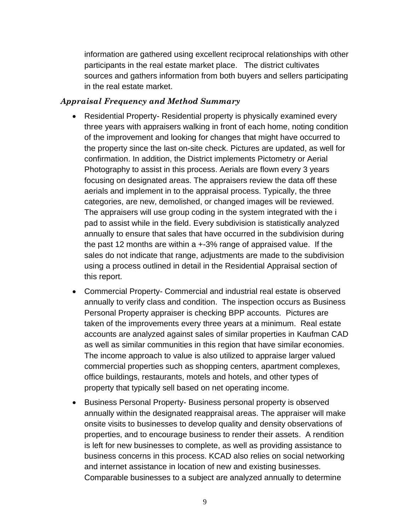information are gathered using excellent reciprocal relationships with other participants in the real estate market place. The district cultivates sources and gathers information from both buyers and sellers participating in the real estate market.

#### *Appraisal Frequency and Method Summary*

- Residential Property- Residential property is physically examined every three years with appraisers walking in front of each home, noting condition of the improvement and looking for changes that might have occurred to the property since the last on-site check. Pictures are updated, as well for confirmation. In addition, the District implements Pictometry or Aerial Photography to assist in this process. Aerials are flown every 3 years focusing on designated areas. The appraisers review the data off these aerials and implement in to the appraisal process. Typically, the three categories, are new, demolished, or changed images will be reviewed. The appraisers will use group coding in the system integrated with the i pad to assist while in the field. Every subdivision is statistically analyzed annually to ensure that sales that have occurred in the subdivision during the past 12 months are within a +-3% range of appraised value. If the sales do not indicate that range, adjustments are made to the subdivision using a process outlined in detail in the Residential Appraisal section of this report.
- Commercial Property- Commercial and industrial real estate is observed annually to verify class and condition. The inspection occurs as Business Personal Property appraiser is checking BPP accounts. Pictures are taken of the improvements every three years at a minimum. Real estate accounts are analyzed against sales of similar properties in Kaufman CAD as well as similar communities in this region that have similar economies. The income approach to value is also utilized to appraise larger valued commercial properties such as shopping centers, apartment complexes, office buildings, restaurants, motels and hotels, and other types of property that typically sell based on net operating income.
- Business Personal Property- Business personal property is observed annually within the designated reappraisal areas. The appraiser will make onsite visits to businesses to develop quality and density observations of properties, and to encourage business to render their assets. A rendition is left for new businesses to complete, as well as providing assistance to business concerns in this process. KCAD also relies on social networking and internet assistance in location of new and existing businesses. Comparable businesses to a subject are analyzed annually to determine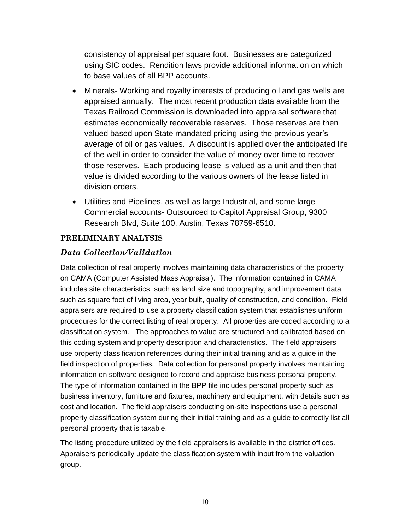consistency of appraisal per square foot. Businesses are categorized using SIC codes. Rendition laws provide additional information on which to base values of all BPP accounts.

- Minerals- Working and royalty interests of producing oil and gas wells are appraised annually. The most recent production data available from the Texas Railroad Commission is downloaded into appraisal software that estimates economically recoverable reserves. Those reserves are then valued based upon State mandated pricing using the previous year's average of oil or gas values. A discount is applied over the anticipated life of the well in order to consider the value of money over time to recover those reserves. Each producing lease is valued as a unit and then that value is divided according to the various owners of the lease listed in division orders.
- Utilities and Pipelines, as well as large Industrial, and some large Commercial accounts- Outsourced to Capitol Appraisal Group, 9300 Research Blvd, Suite 100, Austin, Texas 78759-6510.

# **PRELIMINARY ANALYSIS**

#### *Data Collection/Validation*

Data collection of real property involves maintaining data characteristics of the property on CAMA (Computer Assisted Mass Appraisal). The information contained in CAMA includes site characteristics, such as land size and topography, and improvement data, such as square foot of living area, year built, quality of construction, and condition. Field appraisers are required to use a property classification system that establishes uniform procedures for the correct listing of real property. All properties are coded according to a classification system. The approaches to value are structured and calibrated based on this coding system and property description and characteristics. The field appraisers use property classification references during their initial training and as a guide in the field inspection of properties. Data collection for personal property involves maintaining information on software designed to record and appraise business personal property. The type of information contained in the BPP file includes personal property such as business inventory, furniture and fixtures, machinery and equipment, with details such as cost and location. The field appraisers conducting on-site inspections use a personal property classification system during their initial training and as a guide to correctly list all personal property that is taxable.

The listing procedure utilized by the field appraisers is available in the district offices. Appraisers periodically update the classification system with input from the valuation group.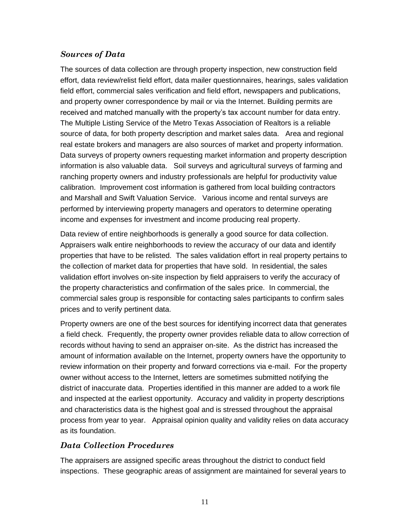# *Sources of Data*

The sources of data collection are through property inspection, new construction field effort, data review/relist field effort, data mailer questionnaires, hearings, sales validation field effort, commercial sales verification and field effort, newspapers and publications, and property owner correspondence by mail or via the Internet. Building permits are received and matched manually with the property's tax account number for data entry. The Multiple Listing Service of the Metro Texas Association of Realtors is a reliable source of data, for both property description and market sales data. Area and regional real estate brokers and managers are also sources of market and property information. Data surveys of property owners requesting market information and property description information is also valuable data. Soil surveys and agricultural surveys of farming and ranching property owners and industry professionals are helpful for productivity value calibration. Improvement cost information is gathered from local building contractors and Marshall and Swift Valuation Service. Various income and rental surveys are performed by interviewing property managers and operators to determine operating income and expenses for investment and income producing real property.

Data review of entire neighborhoods is generally a good source for data collection. Appraisers walk entire neighborhoods to review the accuracy of our data and identify properties that have to be relisted. The sales validation effort in real property pertains to the collection of market data for properties that have sold. In residential, the sales validation effort involves on-site inspection by field appraisers to verify the accuracy of the property characteristics and confirmation of the sales price. In commercial, the commercial sales group is responsible for contacting sales participants to confirm sales prices and to verify pertinent data.

Property owners are one of the best sources for identifying incorrect data that generates a field check. Frequently, the property owner provides reliable data to allow correction of records without having to send an appraiser on-site. As the district has increased the amount of information available on the Internet, property owners have the opportunity to review information on their property and forward corrections via e-mail. For the property owner without access to the Internet, letters are sometimes submitted notifying the district of inaccurate data. Properties identified in this manner are added to a work file and inspected at the earliest opportunity. Accuracy and validity in property descriptions and characteristics data is the highest goal and is stressed throughout the appraisal process from year to year. Appraisal opinion quality and validity relies on data accuracy as its foundation.

# *Data Collection Procedures*

The appraisers are assigned specific areas throughout the district to conduct field inspections. These geographic areas of assignment are maintained for several years to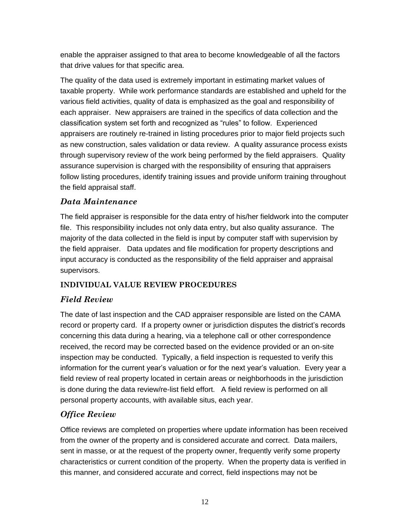enable the appraiser assigned to that area to become knowledgeable of all the factors that drive values for that specific area.

The quality of the data used is extremely important in estimating market values of taxable property. While work performance standards are established and upheld for the various field activities, quality of data is emphasized as the goal and responsibility of each appraiser. New appraisers are trained in the specifics of data collection and the classification system set forth and recognized as "rules" to follow. Experienced appraisers are routinely re-trained in listing procedures prior to major field projects such as new construction, sales validation or data review. A quality assurance process exists through supervisory review of the work being performed by the field appraisers. Quality assurance supervision is charged with the responsibility of ensuring that appraisers follow listing procedures, identify training issues and provide uniform training throughout the field appraisal staff.

# *Data Maintenance*

The field appraiser is responsible for the data entry of his/her fieldwork into the computer file. This responsibility includes not only data entry, but also quality assurance. The majority of the data collected in the field is input by computer staff with supervision by the field appraiser. Data updates and file modification for property descriptions and input accuracy is conducted as the responsibility of the field appraiser and appraisal supervisors.

# **INDIVIDUAL VALUE REVIEW PROCEDURES**

# *Field Review*

The date of last inspection and the CAD appraiser responsible are listed on the CAMA record or property card. If a property owner or jurisdiction disputes the district's records concerning this data during a hearing, via a telephone call or other correspondence received, the record may be corrected based on the evidence provided or an on-site inspection may be conducted. Typically, a field inspection is requested to verify this information for the current year's valuation or for the next year's valuation. Every year a field review of real property located in certain areas or neighborhoods in the jurisdiction is done during the data review/re-list field effort. A field review is performed on all personal property accounts, with available situs, each year.

# *Office Review*

Office reviews are completed on properties where update information has been received from the owner of the property and is considered accurate and correct. Data mailers, sent in masse, or at the request of the property owner, frequently verify some property characteristics or current condition of the property. When the property data is verified in this manner, and considered accurate and correct, field inspections may not be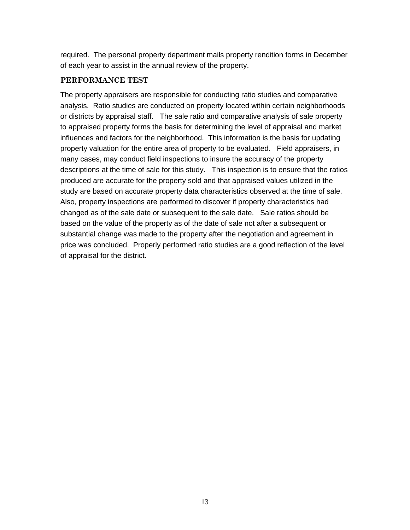required. The personal property department mails property rendition forms in December of each year to assist in the annual review of the property.

#### **PERFORMANCE TEST**

The property appraisers are responsible for conducting ratio studies and comparative analysis. Ratio studies are conducted on property located within certain neighborhoods or districts by appraisal staff. The sale ratio and comparative analysis of sale property to appraised property forms the basis for determining the level of appraisal and market influences and factors for the neighborhood. This information is the basis for updating property valuation for the entire area of property to be evaluated. Field appraisers, in many cases, may conduct field inspections to insure the accuracy of the property descriptions at the time of sale for this study. This inspection is to ensure that the ratios produced are accurate for the property sold and that appraised values utilized in the study are based on accurate property data characteristics observed at the time of sale. Also, property inspections are performed to discover if property characteristics had changed as of the sale date or subsequent to the sale date. Sale ratios should be based on the value of the property as of the date of sale not after a subsequent or substantial change was made to the property after the negotiation and agreement in price was concluded. Properly performed ratio studies are a good reflection of the level of appraisal for the district.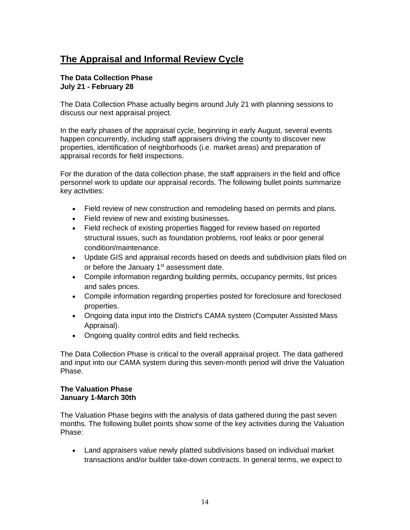# **The Appraisal and Informal Review Cycle**

#### **The Data Collection Phase July 21 - February 28**

The Data Collection Phase actually begins around July 21 with planning sessions to discuss our next appraisal project.

In the early phases of the appraisal cycle, beginning in early August, several events happen concurrently, including staff appraisers driving the county to discover new properties, identification of neighborhoods (i.e. market areas) and preparation of appraisal records for field inspections.

For the duration of the data collection phase, the staff appraisers in the field and office personnel work to update our appraisal records. The following bullet points summarize key activities:

- Field review of new construction and remodeling based on permits and plans.
- Field review of new and existing businesses.
- Field recheck of existing properties flagged for review based on reported structural issues, such as foundation problems, roof leaks or poor general condition/maintenance.
- Update GIS and appraisal records based on deeds and subdivision plats filed on or before the January 1<sup>st</sup> assessment date.
- Compile information regarding building permits, occupancy permits, list prices and sales prices.
- Compile information regarding properties posted for foreclosure and foreclosed properties.
- Ongoing data input into the District's CAMA system (Computer Assisted Mass Appraisal).
- Ongoing quality control edits and field rechecks.

The Data Collection Phase is critical to the overall appraisal project. The data gathered and input into our CAMA system during this seven-month period will drive the Valuation Phase.

#### **The Valuation Phase January 1-March 30th**

The Valuation Phase begins with the analysis of data gathered during the past seven months. The following bullet points show some of the key activities during the Valuation Phase:

• Land appraisers value newly platted subdivisions based on individual market transactions and/or builder take-down contracts. In general terms, we expect to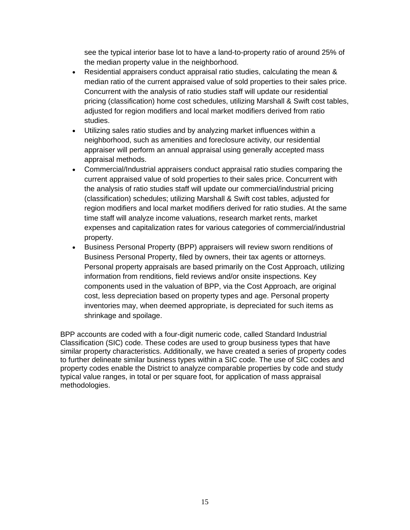see the typical interior base lot to have a land-to-property ratio of around 25% of the median property value in the neighborhood.

- Residential appraisers conduct appraisal ratio studies, calculating the mean & median ratio of the current appraised value of sold properties to their sales price. Concurrent with the analysis of ratio studies staff will update our residential pricing (classification) home cost schedules, utilizing Marshall & Swift cost tables, adjusted for region modifiers and local market modifiers derived from ratio studies.
- Utilizing sales ratio studies and by analyzing market influences within a neighborhood, such as amenities and foreclosure activity, our residential appraiser will perform an annual appraisal using generally accepted mass appraisal methods.
- Commercial/Industrial appraisers conduct appraisal ratio studies comparing the current appraised value of sold properties to their sales price. Concurrent with the analysis of ratio studies staff will update our commercial/industrial pricing (classification) schedules; utilizing Marshall & Swift cost tables, adjusted for region modifiers and local market modifiers derived for ratio studies. At the same time staff will analyze income valuations, research market rents, market expenses and capitalization rates for various categories of commercial/industrial property.
- Business Personal Property (BPP) appraisers will review sworn renditions of Business Personal Property, filed by owners, their tax agents or attorneys. Personal property appraisals are based primarily on the Cost Approach, utilizing information from renditions, field reviews and/or onsite inspections. Key components used in the valuation of BPP, via the Cost Approach, are original cost, less depreciation based on property types and age. Personal property inventories may, when deemed appropriate, is depreciated for such items as shrinkage and spoilage.

BPP accounts are coded with a four-digit numeric code, called Standard Industrial Classification (SIC) code. These codes are used to group business types that have similar property characteristics. Additionally, we have created a series of property codes to further delineate similar business types within a SIC code. The use of SIC codes and property codes enable the District to analyze comparable properties by code and study typical value ranges, in total or per square foot, for application of mass appraisal methodologies.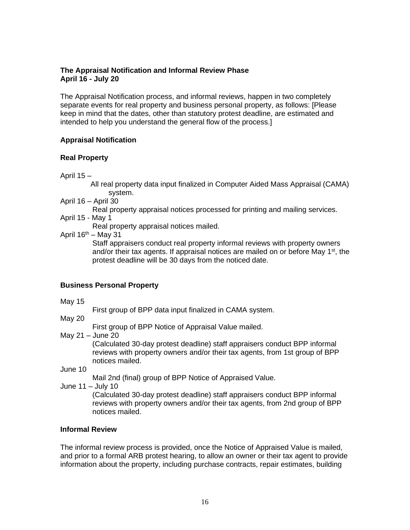#### **The Appraisal Notification and Informal Review Phase April 16 - July 20**

The Appraisal Notification process, and informal reviews, happen in two completely separate events for real property and business personal property, as follows: [Please keep in mind that the dates, other than statutory protest deadline, are estimated and intended to help you understand the general flow of the process.]

#### **Appraisal Notification**

#### **Real Property**

April 15 –

 All real property data input finalized in Computer Aided Mass Appraisal (CAMA) system.

- April 16 April 30
	- Real property appraisal notices processed for printing and mailing services.
- April 15 May 1

Real property appraisal notices mailed.

April  $16^{th}$  – May 31

Staff appraisers conduct real property informal reviews with property owners and/or their tax agents. If appraisal notices are mailed on or before May  $1<sup>st</sup>$ , the protest deadline will be 30 days from the noticed date.

#### **Business Personal Property**

- May 15
- First group of BPP data input finalized in CAMA system.
- May 20

First group of BPP Notice of Appraisal Value mailed.

May 21 – June 20

(Calculated 30-day protest deadline) staff appraisers conduct BPP informal reviews with property owners and/or their tax agents, from 1st group of BPP notices mailed.

June 10

Mail 2nd (final) group of BPP Notice of Appraised Value.

June 11 – July 10

(Calculated 30-day protest deadline) staff appraisers conduct BPP informal reviews with property owners and/or their tax agents, from 2nd group of BPP notices mailed.

#### **Informal Review**

The informal review process is provided, once the Notice of Appraised Value is mailed, and prior to a formal ARB protest hearing, to allow an owner or their tax agent to provide information about the property, including purchase contracts, repair estimates, building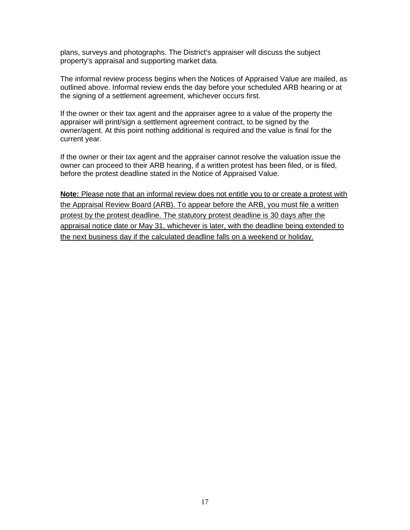plans, surveys and photographs. The District's appraiser will discuss the subject property's appraisal and supporting market data.

The informal review process begins when the Notices of Appraised Value are mailed, as outlined above. Informal review ends the day before your scheduled ARB hearing or at the signing of a settlement agreement, whichever occurs first.

If the owner or their tax agent and the appraiser agree to a value of the property the appraiser will print/sign a settlement agreement contract, to be signed by the owner/agent. At this point nothing additional is required and the value is final for the current year.

If the owner or their tax agent and the appraiser cannot resolve the valuation issue the owner can proceed to their ARB hearing, if a written protest has been filed, or is filed, before the protest deadline stated in the Notice of Appraised Value.

**Note:** Please note that an informal review does not entitle you to or create a protest with the Appraisal Review Board (ARB). To appear before the ARB, you must file a written protest by the protest deadline. The statutory protest deadline is 30 days after the appraisal notice date or May 31, whichever is later, with the deadline being extended to the next business day if the calculated deadline falls on a weekend or holiday.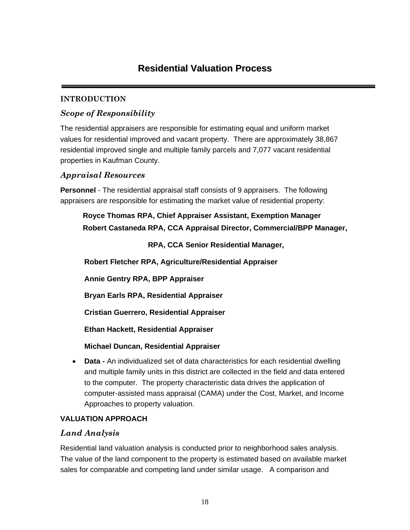# **Residential Valuation Process**

# **INTRODUCTION**

# *Scope of Responsibility*

The residential appraisers are responsible for estimating equal and uniform market values for residential improved and vacant property. There are approximately 38,867 residential improved single and multiple family parcels and 7,077 vacant residential properties in Kaufman County.

# *Appraisal Resources*

**Personnel** *-* The residential appraisal staff consists of 9 appraisers. The following appraisers are responsible for estimating the market value of residential property:

# **Royce Thomas RPA, Chief Appraiser Assistant, Exemption Manager Robert Castaneda RPA, CCA Appraisal Director, Commercial/BPP Manager,**

# **RPA, CCA Senior Residential Manager,**

**Robert Fletcher RPA, Agriculture/Residential Appraiser**

**Annie Gentry RPA, BPP Appraiser**

**Bryan Earls RPA, Residential Appraiser**

**Cristian Guerrero, Residential Appraiser**

**Ethan Hackett, Residential Appraiser**

# **Michael Duncan, Residential Appraiser**

• **Data -** An individualized set of data characteristics for each residential dwelling and multiple family units in this district are collected in the field and data entered to the computer. The property characteristic data drives the application of computer-assisted mass appraisal (CAMA) under the Cost, Market, and Income Approaches to property valuation.

# **VALUATION APPROACH**

# *Land Analysis*

Residential land valuation analysis is conducted prior to neighborhood sales analysis. The value of the land component to the property is estimated based on available market sales for comparable and competing land under similar usage. A comparison and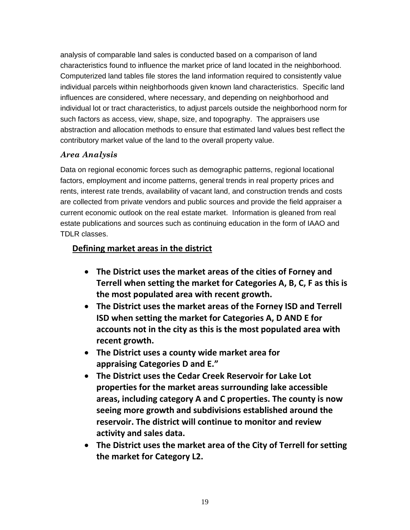analysis of comparable land sales is conducted based on a comparison of land characteristics found to influence the market price of land located in the neighborhood. Computerized land tables file stores the land information required to consistently value individual parcels within neighborhoods given known land characteristics. Specific land influences are considered, where necessary, and depending on neighborhood and individual lot or tract characteristics, to adjust parcels outside the neighborhood norm for such factors as access, view, shape, size, and topography. The appraisers use abstraction and allocation methods to ensure that estimated land values best reflect the contributory market value of the land to the overall property value.

# *Area Analysis*

Data on regional economic forces such as demographic patterns, regional locational factors, employment and income patterns, general trends in real property prices and rents, interest rate trends, availability of vacant land, and construction trends and costs are collected from private vendors and public sources and provide the field appraiser a current economic outlook on the real estate market. Information is gleaned from real estate publications and sources such as continuing education in the form of IAAO and TDLR classes.

# **Defining market areas in the district**

- **The District uses the market areas of the cities of Forney and Terrell when setting the market for Categories A, B, C, F as this is the most populated area with recent growth.**
- **The District uses the market areas of the Forney ISD and Terrell ISD when setting the market for Categories A, D AND E for accounts not in the city as this is the most populated area with recent growth.**
- **The District uses a county wide market area for appraising Categories D and E."**
- **The District uses the Cedar Creek Reservoir for Lake Lot properties for the market areas surrounding lake accessible areas, including category A and C properties. The county is now seeing more growth and subdivisions established around the reservoir. The district will continue to monitor and review activity and sales data.**
- **The District uses the market area of the City of Terrell for setting the market for Category L2.**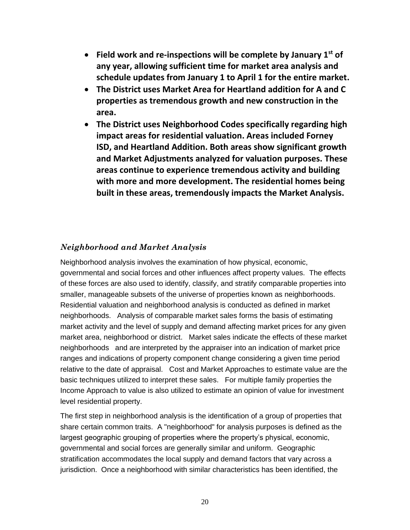- **Field work and re-inspections will be complete by January 1st of any year, allowing sufficient time for market area analysis and schedule updates from January 1 to April 1 for the entire market.**
- **The District uses Market Area for Heartland addition for A and C properties as tremendous growth and new construction in the area.**
- **The District uses Neighborhood Codes specifically regarding high impact areas for residential valuation. Areas included Forney ISD, and Heartland Addition. Both areas show significant growth and Market Adjustments analyzed for valuation purposes. These areas continue to experience tremendous activity and building with more and more development. The residential homes being built in these areas, tremendously impacts the Market Analysis.**

# *Neighborhood and Market Analysis*

Neighborhood analysis involves the examination of how physical, economic, governmental and social forces and other influences affect property values. The effects of these forces are also used to identify, classify, and stratify comparable properties into smaller, manageable subsets of the universe of properties known as neighborhoods. Residential valuation and neighborhood analysis is conducted as defined in market neighborhoods. Analysis of comparable market sales forms the basis of estimating market activity and the level of supply and demand affecting market prices for any given market area, neighborhood or district. Market sales indicate the effects of these market neighborhoods and are interpreted by the appraiser into an indication of market price ranges and indications of property component change considering a given time period relative to the date of appraisal. Cost and Market Approaches to estimate value are the basic techniques utilized to interpret these sales. For multiple family properties the Income Approach to value is also utilized to estimate an opinion of value for investment level residential property.

The first step in neighborhood analysis is the identification of a group of properties that share certain common traits. A "neighborhood" for analysis purposes is defined as the largest geographic grouping of properties where the property's physical, economic, governmental and social forces are generally similar and uniform. Geographic stratification accommodates the local supply and demand factors that vary across a jurisdiction. Once a neighborhood with similar characteristics has been identified, the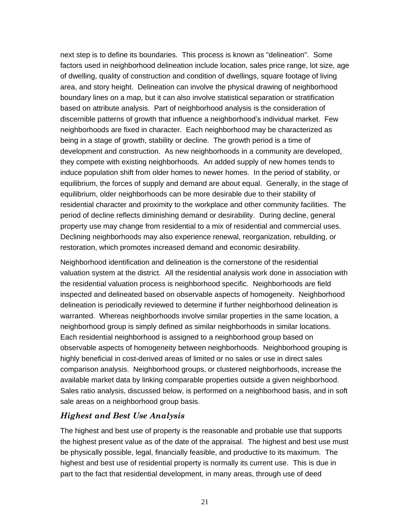next step is to define its boundaries. This process is known as "delineation". Some factors used in neighborhood delineation include location, sales price range, lot size, age of dwelling, quality of construction and condition of dwellings, square footage of living area, and story height. Delineation can involve the physical drawing of neighborhood boundary lines on a map, but it can also involve statistical separation or stratification based on attribute analysis. Part of neighborhood analysis is the consideration of discernible patterns of growth that influence a neighborhood's individual market. Few neighborhoods are fixed in character. Each neighborhood may be characterized as being in a stage of growth, stability or decline. The growth period is a time of development and construction. As new neighborhoods in a community are developed, they compete with existing neighborhoods. An added supply of new homes tends to induce population shift from older homes to newer homes. In the period of stability, or equilibrium, the forces of supply and demand are about equal. Generally, in the stage of equilibrium, older neighborhoods can be more desirable due to their stability of residential character and proximity to the workplace and other community facilities. The period of decline reflects diminishing demand or desirability. During decline, general property use may change from residential to a mix of residential and commercial uses. Declining neighborhoods may also experience renewal, reorganization, rebuilding, or restoration, which promotes increased demand and economic desirability.

Neighborhood identification and delineation is the cornerstone of the residential valuation system at the district. All the residential analysis work done in association with the residential valuation process is neighborhood specific. Neighborhoods are field inspected and delineated based on observable aspects of homogeneity. Neighborhood delineation is periodically reviewed to determine if further neighborhood delineation is warranted. Whereas neighborhoods involve similar properties in the same location, a neighborhood group is simply defined as similar neighborhoods in similar locations. Each residential neighborhood is assigned to a neighborhood group based on observable aspects of homogeneity between neighborhoods. Neighborhood grouping is highly beneficial in cost-derived areas of limited or no sales or use in direct sales comparison analysis. Neighborhood groups, or clustered neighborhoods, increase the available market data by linking comparable properties outside a given neighborhood. Sales ratio analysis, discussed below, is performed on a neighborhood basis, and in soft sale areas on a neighborhood group basis.

# *Highest and Best Use Analysis*

The highest and best use of property is the reasonable and probable use that supports the highest present value as of the date of the appraisal. The highest and best use must be physically possible, legal, financially feasible, and productive to its maximum. The highest and best use of residential property is normally its current use. This is due in part to the fact that residential development, in many areas, through use of deed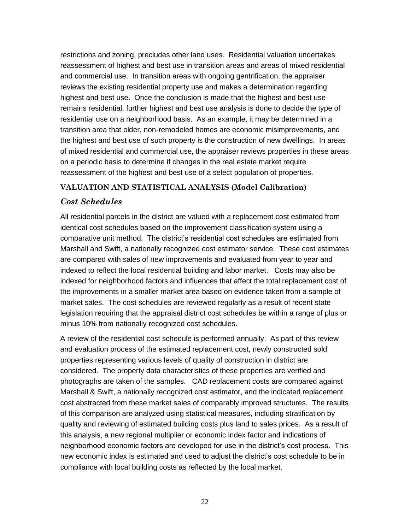restrictions and zoning, precludes other land uses. Residential valuation undertakes reassessment of highest and best use in transition areas and areas of mixed residential and commercial use. In transition areas with ongoing gentrification, the appraiser reviews the existing residential property use and makes a determination regarding highest and best use. Once the conclusion is made that the highest and best use remains residential, further highest and best use analysis is done to decide the type of residential use on a neighborhood basis. As an example, it may be determined in a transition area that older, non-remodeled homes are economic misimprovements, and the highest and best use of such property is the construction of new dwellings. In areas of mixed residential and commercial use, the appraiser reviews properties in these areas on a periodic basis to determine if changes in the real estate market require reassessment of the highest and best use of a select population of properties.

#### **VALUATION AND STATISTICAL ANALYSIS (Model Calibration)**

# *Cost Schedules*

All residential parcels in the district are valued with a replacement cost estimated from identical cost schedules based on the improvement classification system using a comparative unit method. The district's residential cost schedules are estimated from Marshall and Swift, a nationally recognized cost estimator service. These cost estimates are compared with sales of new improvements and evaluated from year to year and indexed to reflect the local residential building and labor market. Costs may also be indexed for neighborhood factors and influences that affect the total replacement cost of the improvements in a smaller market area based on evidence taken from a sample of market sales. The cost schedules are reviewed regularly as a result of recent state legislation requiring that the appraisal district cost schedules be within a range of plus or minus 10% from nationally recognized cost schedules.

A review of the residential cost schedule is performed annually. As part of this review and evaluation process of the estimated replacement cost, newly constructed sold properties representing various levels of quality of construction in district are considered. The property data characteristics of these properties are verified and photographs are taken of the samples. CAD replacement costs are compared against Marshall & Swift, a nationally recognized cost estimator, and the indicated replacement cost abstracted from these market sales of comparably improved structures. The results of this comparison are analyzed using statistical measures, including stratification by quality and reviewing of estimated building costs plus land to sales prices. As a result of this analysis, a new regional multiplier or economic index factor and indications of neighborhood economic factors are developed for use in the district's cost process. This new economic index is estimated and used to adjust the district's cost schedule to be in compliance with local building costs as reflected by the local market.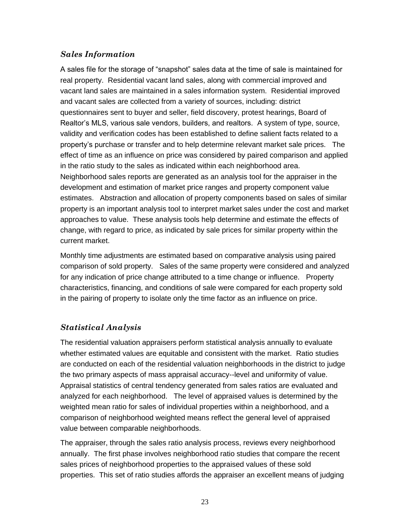# *Sales Information*

A sales file for the storage of "snapshot" sales data at the time of sale is maintained for real property. Residential vacant land sales, along with commercial improved and vacant land sales are maintained in a sales information system. Residential improved and vacant sales are collected from a variety of sources, including: district questionnaires sent to buyer and seller, field discovery, protest hearings, Board of Realtor's MLS, various sale vendors, builders, and realtors. A system of type, source, validity and verification codes has been established to define salient facts related to a property's purchase or transfer and to help determine relevant market sale prices. The effect of time as an influence on price was considered by paired comparison and applied in the ratio study to the sales as indicated within each neighborhood area. Neighborhood sales reports are generated as an analysis tool for the appraiser in the development and estimation of market price ranges and property component value estimates. Abstraction and allocation of property components based on sales of similar property is an important analysis tool to interpret market sales under the cost and market approaches to value. These analysis tools help determine and estimate the effects of change, with regard to price, as indicated by sale prices for similar property within the current market.

Monthly time adjustments are estimated based on comparative analysis using paired comparison of sold property. Sales of the same property were considered and analyzed for any indication of price change attributed to a time change or influence. Property characteristics, financing, and conditions of sale were compared for each property sold in the pairing of property to isolate only the time factor as an influence on price.

# *Statistical Analysis*

The residential valuation appraisers perform statistical analysis annually to evaluate whether estimated values are equitable and consistent with the market. Ratio studies are conducted on each of the residential valuation neighborhoods in the district to judge the two primary aspects of mass appraisal accuracy--level and uniformity of value. Appraisal statistics of central tendency generated from sales ratios are evaluated and analyzed for each neighborhood. The level of appraised values is determined by the weighted mean ratio for sales of individual properties within a neighborhood, and a comparison of neighborhood weighted means reflect the general level of appraised value between comparable neighborhoods.

The appraiser, through the sales ratio analysis process, reviews every neighborhood annually. The first phase involves neighborhood ratio studies that compare the recent sales prices of neighborhood properties to the appraised values of these sold properties. This set of ratio studies affords the appraiser an excellent means of judging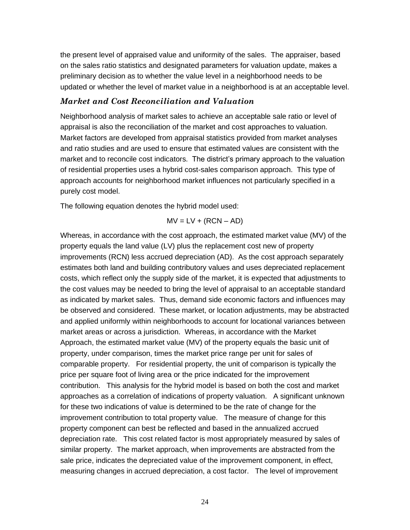the present level of appraised value and uniformity of the sales. The appraiser, based on the sales ratio statistics and designated parameters for valuation update, makes a preliminary decision as to whether the value level in a neighborhood needs to be updated or whether the level of market value in a neighborhood is at an acceptable level.

#### *Market and Cost Reconciliation and Valuation*

Neighborhood analysis of market sales to achieve an acceptable sale ratio or level of appraisal is also the reconciliation of the market and cost approaches to valuation. Market factors are developed from appraisal statistics provided from market analyses and ratio studies and are used to ensure that estimated values are consistent with the market and to reconcile cost indicators. The district's primary approach to the valuation of residential properties uses a hybrid cost-sales comparison approach. This type of approach accounts for neighborhood market influences not particularly specified in a purely cost model.

The following equation denotes the hybrid model used:

$$
MV = LV + (RCN - AD)
$$

Whereas, in accordance with the cost approach, the estimated market value (MV) of the property equals the land value (LV) plus the replacement cost new of property improvements (RCN) less accrued depreciation (AD). As the cost approach separately estimates both land and building contributory values and uses depreciated replacement costs, which reflect only the supply side of the market, it is expected that adjustments to the cost values may be needed to bring the level of appraisal to an acceptable standard as indicated by market sales. Thus, demand side economic factors and influences may be observed and considered. These market, or location adjustments, may be abstracted and applied uniformly within neighborhoods to account for locational variances between market areas or across a jurisdiction. Whereas, in accordance with the Market Approach, the estimated market value (MV) of the property equals the basic unit of property, under comparison, times the market price range per unit for sales of comparable property. For residential property, the unit of comparison is typically the price per square foot of living area or the price indicated for the improvement contribution. This analysis for the hybrid model is based on both the cost and market approaches as a correlation of indications of property valuation. A significant unknown for these two indications of value is determined to be the rate of change for the improvement contribution to total property value. The measure of change for this property component can best be reflected and based in the annualized accrued depreciation rate. This cost related factor is most appropriately measured by sales of similar property. The market approach, when improvements are abstracted from the sale price, indicates the depreciated value of the improvement component, in effect, measuring changes in accrued depreciation, a cost factor. The level of improvement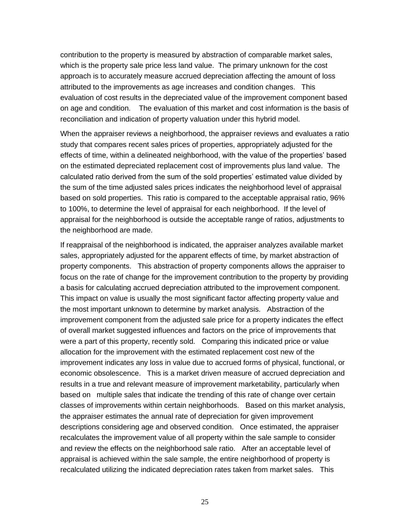contribution to the property is measured by abstraction of comparable market sales, which is the property sale price less land value. The primary unknown for the cost approach is to accurately measure accrued depreciation affecting the amount of loss attributed to the improvements as age increases and condition changes. This evaluation of cost results in the depreciated value of the improvement component based on age and condition. The evaluation of this market and cost information is the basis of reconciliation and indication of property valuation under this hybrid model.

When the appraiser reviews a neighborhood, the appraiser reviews and evaluates a ratio study that compares recent sales prices of properties, appropriately adjusted for the effects of time, within a delineated neighborhood, with the value of the properties' based on the estimated depreciated replacement cost of improvements plus land value. The calculated ratio derived from the sum of the sold properties' estimated value divided by the sum of the time adjusted sales prices indicates the neighborhood level of appraisal based on sold properties. This ratio is compared to the acceptable appraisal ratio, 96% to 100%, to determine the level of appraisal for each neighborhood. If the level of appraisal for the neighborhood is outside the acceptable range of ratios, adjustments to the neighborhood are made.

If reappraisal of the neighborhood is indicated, the appraiser analyzes available market sales, appropriately adjusted for the apparent effects of time, by market abstraction of property components. This abstraction of property components allows the appraiser to focus on the rate of change for the improvement contribution to the property by providing a basis for calculating accrued depreciation attributed to the improvement component. This impact on value is usually the most significant factor affecting property value and the most important unknown to determine by market analysis. Abstraction of the improvement component from the adjusted sale price for a property indicates the effect of overall market suggested influences and factors on the price of improvements that were a part of this property, recently sold. Comparing this indicated price or value allocation for the improvement with the estimated replacement cost new of the improvement indicates any loss in value due to accrued forms of physical, functional, or economic obsolescence. This is a market driven measure of accrued depreciation and results in a true and relevant measure of improvement marketability, particularly when based on multiple sales that indicate the trending of this rate of change over certain classes of improvements within certain neighborhoods. Based on this market analysis, the appraiser estimates the annual rate of depreciation for given improvement descriptions considering age and observed condition. Once estimated, the appraiser recalculates the improvement value of all property within the sale sample to consider and review the effects on the neighborhood sale ratio. After an acceptable level of appraisal is achieved within the sale sample, the entire neighborhood of property is recalculated utilizing the indicated depreciation rates taken from market sales. This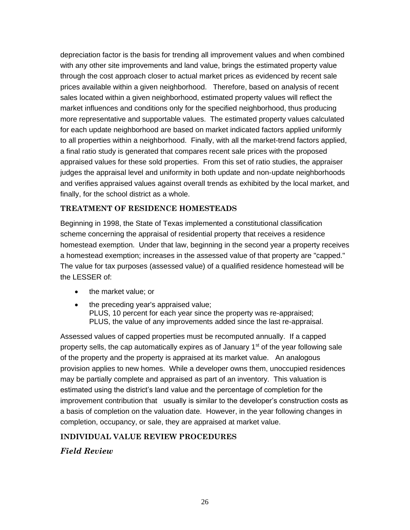depreciation factor is the basis for trending all improvement values and when combined with any other site improvements and land value, brings the estimated property value through the cost approach closer to actual market prices as evidenced by recent sale prices available within a given neighborhood. Therefore, based on analysis of recent sales located within a given neighborhood, estimated property values will reflect the market influences and conditions only for the specified neighborhood, thus producing more representative and supportable values. The estimated property values calculated for each update neighborhood are based on market indicated factors applied uniformly to all properties within a neighborhood. Finally, with all the market-trend factors applied, a final ratio study is generated that compares recent sale prices with the proposed appraised values for these sold properties. From this set of ratio studies, the appraiser judges the appraisal level and uniformity in both update and non-update neighborhoods and verifies appraised values against overall trends as exhibited by the local market, and finally, for the school district as a whole.

#### **TREATMENT OF RESIDENCE HOMESTEADS**

Beginning in 1998, the State of Texas implemented a constitutional classification scheme concerning the appraisal of residential property that receives a residence homestead exemption. Under that law, beginning in the second year a property receives a homestead exemption; increases in the assessed value of that property are "capped." The value for tax purposes (assessed value) of a qualified residence homestead will be the LESSER of:

- the market value; or
- the preceding year's appraised value; PLUS, 10 percent for each year since the property was re-appraised; PLUS, the value of any improvements added since the last re-appraisal.

Assessed values of capped properties must be recomputed annually. If a capped property sells, the cap automatically expires as of January  $1<sup>st</sup>$  of the year following sale of the property and the property is appraised at its market value. An analogous provision applies to new homes. While a developer owns them, unoccupied residences may be partially complete and appraised as part of an inventory. This valuation is estimated using the district's land value and the percentage of completion for the improvement contribution that usually is similar to the developer's construction costs as a basis of completion on the valuation date. However, in the year following changes in completion, occupancy, or sale, they are appraised at market value.

# **INDIVIDUAL VALUE REVIEW PROCEDURES**

*Field Review*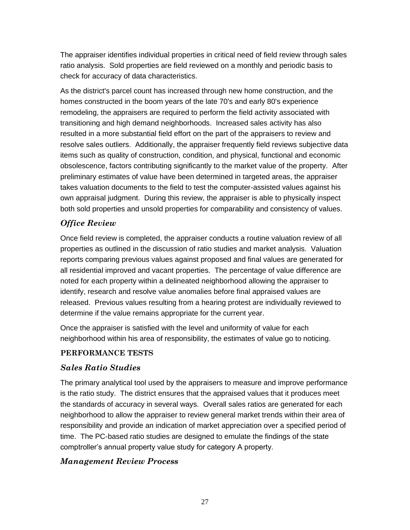The appraiser identifies individual properties in critical need of field review through sales ratio analysis. Sold properties are field reviewed on a monthly and periodic basis to check for accuracy of data characteristics.

As the district's parcel count has increased through new home construction, and the homes constructed in the boom years of the late 70's and early 80's experience remodeling, the appraisers are required to perform the field activity associated with transitioning and high demand neighborhoods. Increased sales activity has also resulted in a more substantial field effort on the part of the appraisers to review and resolve sales outliers. Additionally, the appraiser frequently field reviews subjective data items such as quality of construction, condition, and physical, functional and economic obsolescence, factors contributing significantly to the market value of the property. After preliminary estimates of value have been determined in targeted areas, the appraiser takes valuation documents to the field to test the computer-assisted values against his own appraisal judgment. During this review, the appraiser is able to physically inspect both sold properties and unsold properties for comparability and consistency of values.

# *Office Review*

Once field review is completed, the appraiser conducts a routine valuation review of all properties as outlined in the discussion of ratio studies and market analysis. Valuation reports comparing previous values against proposed and final values are generated for all residential improved and vacant properties. The percentage of value difference are noted for each property within a delineated neighborhood allowing the appraiser to identify, research and resolve value anomalies before final appraised values are released. Previous values resulting from a hearing protest are individually reviewed to determine if the value remains appropriate for the current year.

Once the appraiser is satisfied with the level and uniformity of value for each neighborhood within his area of responsibility, the estimates of value go to noticing.

#### **PERFORMANCE TESTS**

# *Sales Ratio Studies*

The primary analytical tool used by the appraisers to measure and improve performance is the ratio study. The district ensures that the appraised values that it produces meet the standards of accuracy in several ways. Overall sales ratios are generated for each neighborhood to allow the appraiser to review general market trends within their area of responsibility and provide an indication of market appreciation over a specified period of time. The PC-based ratio studies are designed to emulate the findings of the state comptroller's annual property value study for category A property.

# *Management Review Process*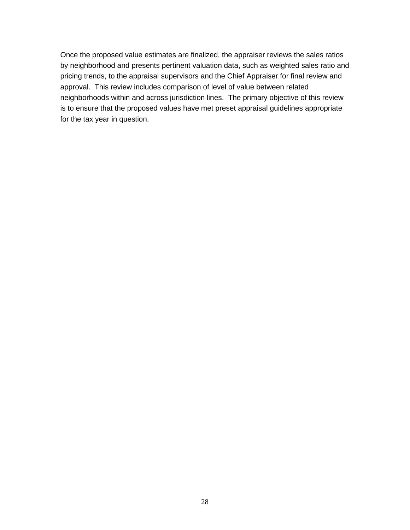Once the proposed value estimates are finalized, the appraiser reviews the sales ratios by neighborhood and presents pertinent valuation data, such as weighted sales ratio and pricing trends, to the appraisal supervisors and the Chief Appraiser for final review and approval. This review includes comparison of level of value between related neighborhoods within and across jurisdiction lines. The primary objective of this review is to ensure that the proposed values have met preset appraisal guidelines appropriate for the tax year in question.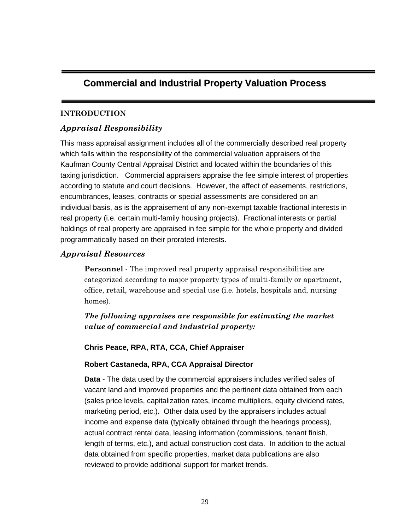# **Commercial and Industrial Property Valuation Process**

# **INTRODUCTION**

# *Appraisal Responsibility*

This mass appraisal assignment includes all of the commercially described real property which falls within the responsibility of the commercial valuation appraisers of the Kaufman County Central Appraisal District and located within the boundaries of this taxing jurisdiction. Commercial appraisers appraise the fee simple interest of properties according to statute and court decisions. However, the affect of easements, restrictions, encumbrances, leases, contracts or special assessments are considered on an individual basis, as is the appraisement of any non-exempt taxable fractional interests in real property (i.e. certain multi-family housing projects). Fractional interests or partial holdings of real property are appraised in fee simple for the whole property and divided programmatically based on their prorated interests.

# *Appraisal Resources*

**Personnel** - The improved real property appraisal responsibilities are categorized according to major property types of multi-family or apartment, office, retail, warehouse and special use (i.e. hotels, hospitals and, nursing homes).

*The following appraises are responsible for estimating the market value of commercial and industrial property:*

# **Chris Peace, RPA, RTA, CCA, Chief Appraiser**

# **Robert Castaneda, RPA, CCA Appraisal Director**

**Data** - The data used by the commercial appraisers includes verified sales of vacant land and improved properties and the pertinent data obtained from each (sales price levels, capitalization rates, income multipliers, equity dividend rates, marketing period, etc.). Other data used by the appraisers includes actual income and expense data (typically obtained through the hearings process), actual contract rental data, leasing information (commissions, tenant finish, length of terms, etc.), and actual construction cost data. In addition to the actual data obtained from specific properties, market data publications are also reviewed to provide additional support for market trends.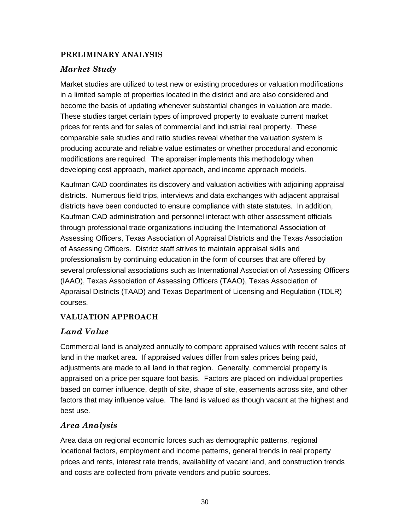# **PRELIMINARY ANALYSIS**

# *Market Study*

Market studies are utilized to test new or existing procedures or valuation modifications in a limited sample of properties located in the district and are also considered and become the basis of updating whenever substantial changes in valuation are made. These studies target certain types of improved property to evaluate current market prices for rents and for sales of commercial and industrial real property. These comparable sale studies and ratio studies reveal whether the valuation system is producing accurate and reliable value estimates or whether procedural and economic modifications are required. The appraiser implements this methodology when developing cost approach, market approach, and income approach models.

Kaufman CAD coordinates its discovery and valuation activities with adjoining appraisal districts. Numerous field trips, interviews and data exchanges with adjacent appraisal districts have been conducted to ensure compliance with state statutes. In addition, Kaufman CAD administration and personnel interact with other assessment officials through professional trade organizations including the International Association of Assessing Officers, Texas Association of Appraisal Districts and the Texas Association of Assessing Officers. District staff strives to maintain appraisal skills and professionalism by continuing education in the form of courses that are offered by several professional associations such as International Association of Assessing Officers (IAAO), Texas Association of Assessing Officers (TAAO), Texas Association of Appraisal Districts (TAAD) and Texas Department of Licensing and Regulation (TDLR) courses.

# **VALUATION APPROACH**

# *Land Value*

Commercial land is analyzed annually to compare appraised values with recent sales of land in the market area. If appraised values differ from sales prices being paid, adjustments are made to all land in that region. Generally, commercial property is appraised on a price per square foot basis. Factors are placed on individual properties based on corner influence, depth of site, shape of site, easements across site, and other factors that may influence value. The land is valued as though vacant at the highest and best use.

# *Area Analysis*

Area data on regional economic forces such as demographic patterns, regional locational factors, employment and income patterns, general trends in real property prices and rents, interest rate trends, availability of vacant land, and construction trends and costs are collected from private vendors and public sources.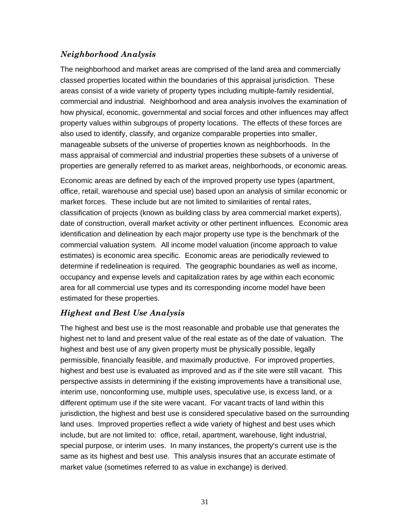# *Neighborhood Analysis*

The neighborhood and market areas are comprised of the land area and commercially classed properties located within the boundaries of this appraisal jurisdiction. These areas consist of a wide variety of property types including multiple-family residential, commercial and industrial. Neighborhood and area analysis involves the examination of how physical, economic, governmental and social forces and other influences may affect property values within subgroups of property locations. The effects of these forces are also used to identify, classify, and organize comparable properties into smaller, manageable subsets of the universe of properties known as neighborhoods. In the mass appraisal of commercial and industrial properties these subsets of a universe of properties are generally referred to as market areas, neighborhoods, or economic areas.

Economic areas are defined by each of the improved property use types (apartment, office, retail, warehouse and special use) based upon an analysis of similar economic or market forces. These include but are not limited to similarities of rental rates, classification of projects (known as building class by area commercial market experts), date of construction, overall market activity or other pertinent influences. Economic area identification and delineation by each major property use type is the benchmark of the commercial valuation system. All income model valuation (income approach to value estimates) is economic area specific. Economic areas are periodically reviewed to determine if redelineation is required. The geographic boundaries as well as income, occupancy and expense levels and capitalization rates by age within each economic area for all commercial use types and its corresponding income model have been estimated for these properties.

# *Highest and Best Use Analysis*

The highest and best use is the most reasonable and probable use that generates the highest net to land and present value of the real estate as of the date of valuation. The highest and best use of any given property must be physically possible, legally permissible, financially feasible, and maximally productive. For improved properties, highest and best use is evaluated as improved and as if the site were still vacant. This perspective assists in determining if the existing improvements have a transitional use, interim use, nonconforming use, multiple uses, speculative use, is excess land, or a different optimum use if the site were vacant. For vacant tracts of land within this jurisdiction, the highest and best use is considered speculative based on the surrounding land uses. Improved properties reflect a wide variety of highest and best uses which include, but are not limited to: office, retail, apartment, warehouse, light industrial, special purpose, or interim uses. In many instances, the property's current use is the same as its highest and best use. This analysis insures that an accurate estimate of market value (sometimes referred to as value in exchange) is derived.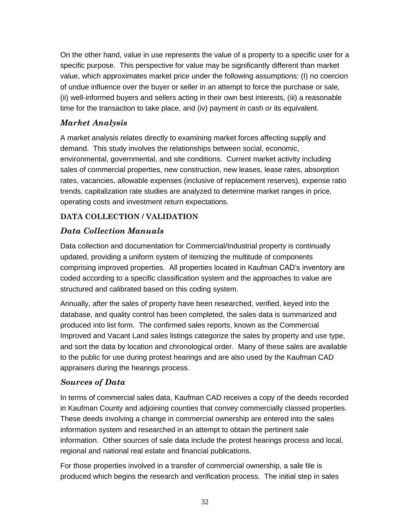On the other hand, value in use represents the value of a property to a specific user for a specific purpose. This perspective for value may be significantly different than market value, which approximates market price under the following assumptions: (I) no coercion of undue influence over the buyer or seller in an attempt to force the purchase or sale, (ii) well-informed buyers and sellers acting in their own best interests, (iii) a reasonable time for the transaction to take place, and (iv) payment in cash or its equivalent.

# *Market Analysis*

A market analysis relates directly to examining market forces affecting supply and demand. This study involves the relationships between social, economic, environmental, governmental, and site conditions. Current market activity including sales of commercial properties, new construction, new leases, lease rates, absorption rates, vacancies, allowable expenses (inclusive of replacement reserves), expense ratio trends, capitalization rate studies are analyzed to determine market ranges in price, operating costs and investment return expectations.

# **DATA COLLECTION / VALIDATION**

# *Data Collection Manuals*

Data collection and documentation for Commercial/Industrial property is continually updated, providing a uniform system of itemizing the multitude of components comprising improved properties. All properties located in Kaufman CAD's inventory are coded according to a specific classification system and the approaches to value are structured and calibrated based on this coding system.

Annually, after the sales of property have been researched, verified, keyed into the database, and quality control has been completed, the sales data is summarized and produced into list form. The confirmed sales reports, known as the Commercial Improved and Vacant Land sales listings categorize the sales by property and use type, and sort the data by location and chronological order. Many of these sales are available to the public for use during protest hearings and are also used by the Kaufman CAD appraisers during the hearings process.

# *Sources of Data*

In terms of commercial sales data, Kaufman CAD receives a copy of the deeds recorded in Kaufman County and adjoining counties that convey commercially classed properties. These deeds involving a change in commercial ownership are entered into the sales information system and researched in an attempt to obtain the pertinent sale information. Other sources of sale data include the protest hearings process and local, regional and national real estate and financial publications.

For those properties involved in a transfer of commercial ownership, a sale file is produced which begins the research and verification process. The initial step in sales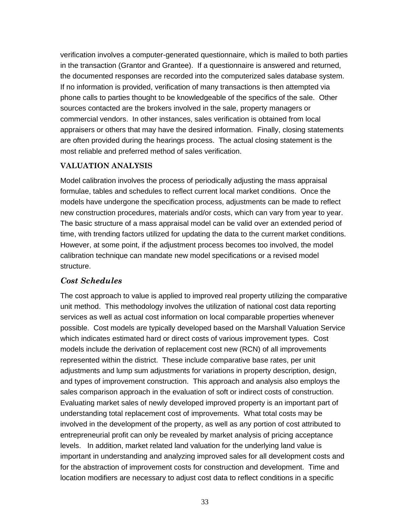verification involves a computer-generated questionnaire, which is mailed to both parties in the transaction (Grantor and Grantee). If a questionnaire is answered and returned, the documented responses are recorded into the computerized sales database system. If no information is provided, verification of many transactions is then attempted via phone calls to parties thought to be knowledgeable of the specifics of the sale. Other sources contacted are the brokers involved in the sale, property managers or commercial vendors. In other instances, sales verification is obtained from local appraisers or others that may have the desired information. Finally, closing statements are often provided during the hearings process. The actual closing statement is the most reliable and preferred method of sales verification.

#### **VALUATION ANALYSIS**

Model calibration involves the process of periodically adjusting the mass appraisal formulae, tables and schedules to reflect current local market conditions. Once the models have undergone the specification process, adjustments can be made to reflect new construction procedures, materials and/or costs, which can vary from year to year. The basic structure of a mass appraisal model can be valid over an extended period of time, with trending factors utilized for updating the data to the current market conditions. However, at some point, if the adjustment process becomes too involved, the model calibration technique can mandate new model specifications or a revised model structure.

# *Cost Schedules*

The cost approach to value is applied to improved real property utilizing the comparative unit method. This methodology involves the utilization of national cost data reporting services as well as actual cost information on local comparable properties whenever possible. Cost models are typically developed based on the Marshall Valuation Service which indicates estimated hard or direct costs of various improvement types. Cost models include the derivation of replacement cost new (RCN) of all improvements represented within the district. These include comparative base rates, per unit adjustments and lump sum adjustments for variations in property description, design, and types of improvement construction. This approach and analysis also employs the sales comparison approach in the evaluation of soft or indirect costs of construction. Evaluating market sales of newly developed improved property is an important part of understanding total replacement cost of improvements. What total costs may be involved in the development of the property, as well as any portion of cost attributed to entrepreneurial profit can only be revealed by market analysis of pricing acceptance levels. In addition, market related land valuation for the underlying land value is important in understanding and analyzing improved sales for all development costs and for the abstraction of improvement costs for construction and development. Time and location modifiers are necessary to adjust cost data to reflect conditions in a specific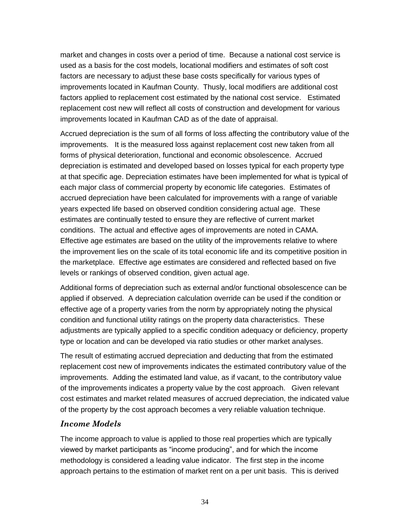market and changes in costs over a period of time. Because a national cost service is used as a basis for the cost models, locational modifiers and estimates of soft cost factors are necessary to adjust these base costs specifically for various types of improvements located in Kaufman County. Thusly, local modifiers are additional cost factors applied to replacement cost estimated by the national cost service. Estimated replacement cost new will reflect all costs of construction and development for various improvements located in Kaufman CAD as of the date of appraisal.

Accrued depreciation is the sum of all forms of loss affecting the contributory value of the improvements. It is the measured loss against replacement cost new taken from all forms of physical deterioration, functional and economic obsolescence. Accrued depreciation is estimated and developed based on losses typical for each property type at that specific age. Depreciation estimates have been implemented for what is typical of each major class of commercial property by economic life categories. Estimates of accrued depreciation have been calculated for improvements with a range of variable years expected life based on observed condition considering actual age. These estimates are continually tested to ensure they are reflective of current market conditions. The actual and effective ages of improvements are noted in CAMA. Effective age estimates are based on the utility of the improvements relative to where the improvement lies on the scale of its total economic life and its competitive position in the marketplace. Effective age estimates are considered and reflected based on five levels or rankings of observed condition, given actual age.

Additional forms of depreciation such as external and/or functional obsolescence can be applied if observed. A depreciation calculation override can be used if the condition or effective age of a property varies from the norm by appropriately noting the physical condition and functional utility ratings on the property data characteristics. These adjustments are typically applied to a specific condition adequacy or deficiency, property type or location and can be developed via ratio studies or other market analyses.

The result of estimating accrued depreciation and deducting that from the estimated replacement cost new of improvements indicates the estimated contributory value of the improvements. Adding the estimated land value, as if vacant, to the contributory value of the improvements indicates a property value by the cost approach. Given relevant cost estimates and market related measures of accrued depreciation, the indicated value of the property by the cost approach becomes a very reliable valuation technique.

# *Income Models*

The income approach to value is applied to those real properties which are typically viewed by market participants as "income producing", and for which the income methodology is considered a leading value indicator. The first step in the income approach pertains to the estimation of market rent on a per unit basis. This is derived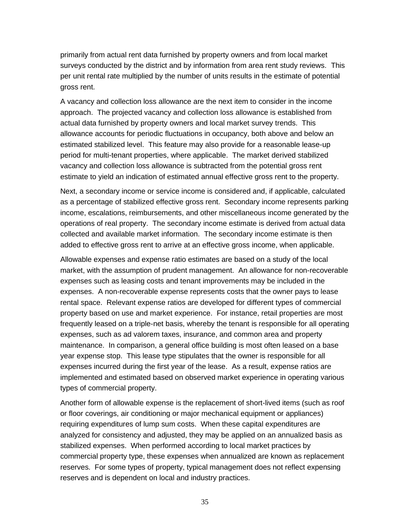primarily from actual rent data furnished by property owners and from local market surveys conducted by the district and by information from area rent study reviews. This per unit rental rate multiplied by the number of units results in the estimate of potential gross rent.

A vacancy and collection loss allowance are the next item to consider in the income approach. The projected vacancy and collection loss allowance is established from actual data furnished by property owners and local market survey trends. This allowance accounts for periodic fluctuations in occupancy, both above and below an estimated stabilized level. This feature may also provide for a reasonable lease-up period for multi-tenant properties, where applicable. The market derived stabilized vacancy and collection loss allowance is subtracted from the potential gross rent estimate to yield an indication of estimated annual effective gross rent to the property.

Next, a secondary income or service income is considered and, if applicable, calculated as a percentage of stabilized effective gross rent. Secondary income represents parking income, escalations, reimbursements, and other miscellaneous income generated by the operations of real property. The secondary income estimate is derived from actual data collected and available market information. The secondary income estimate is then added to effective gross rent to arrive at an effective gross income, when applicable.

Allowable expenses and expense ratio estimates are based on a study of the local market, with the assumption of prudent management. An allowance for non-recoverable expenses such as leasing costs and tenant improvements may be included in the expenses. A non-recoverable expense represents costs that the owner pays to lease rental space. Relevant expense ratios are developed for different types of commercial property based on use and market experience. For instance, retail properties are most frequently leased on a triple-net basis, whereby the tenant is responsible for all operating expenses, such as ad valorem taxes, insurance, and common area and property maintenance. In comparison, a general office building is most often leased on a base year expense stop. This lease type stipulates that the owner is responsible for all expenses incurred during the first year of the lease. As a result, expense ratios are implemented and estimated based on observed market experience in operating various types of commercial property.

Another form of allowable expense is the replacement of short-lived items (such as roof or floor coverings, air conditioning or major mechanical equipment or appliances) requiring expenditures of lump sum costs. When these capital expenditures are analyzed for consistency and adjusted, they may be applied on an annualized basis as stabilized expenses. When performed according to local market practices by commercial property type, these expenses when annualized are known as replacement reserves. For some types of property, typical management does not reflect expensing reserves and is dependent on local and industry practices.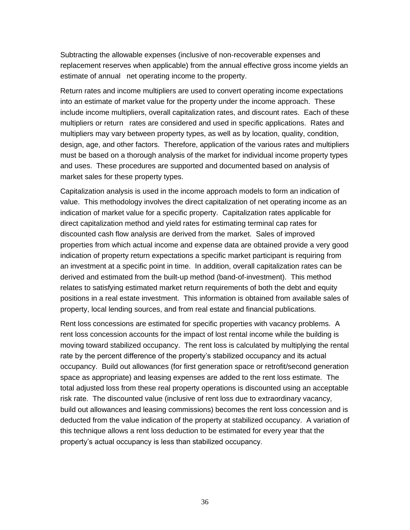Subtracting the allowable expenses (inclusive of non-recoverable expenses and replacement reserves when applicable) from the annual effective gross income yields an estimate of annual net operating income to the property.

Return rates and income multipliers are used to convert operating income expectations into an estimate of market value for the property under the income approach. These include income multipliers, overall capitalization rates, and discount rates. Each of these multipliers or return rates are considered and used in specific applications. Rates and multipliers may vary between property types, as well as by location, quality, condition, design, age, and other factors. Therefore, application of the various rates and multipliers must be based on a thorough analysis of the market for individual income property types and uses. These procedures are supported and documented based on analysis of market sales for these property types.

Capitalization analysis is used in the income approach models to form an indication of value. This methodology involves the direct capitalization of net operating income as an indication of market value for a specific property. Capitalization rates applicable for direct capitalization method and yield rates for estimating terminal cap rates for discounted cash flow analysis are derived from the market. Sales of improved properties from which actual income and expense data are obtained provide a very good indication of property return expectations a specific market participant is requiring from an investment at a specific point in time. In addition, overall capitalization rates can be derived and estimated from the built-up method (band-of-investment). This method relates to satisfying estimated market return requirements of both the debt and equity positions in a real estate investment. This information is obtained from available sales of property, local lending sources, and from real estate and financial publications.

Rent loss concessions are estimated for specific properties with vacancy problems. A rent loss concession accounts for the impact of lost rental income while the building is moving toward stabilized occupancy. The rent loss is calculated by multiplying the rental rate by the percent difference of the property's stabilized occupancy and its actual occupancy. Build out allowances (for first generation space or retrofit/second generation space as appropriate) and leasing expenses are added to the rent loss estimate. The total adjusted loss from these real property operations is discounted using an acceptable risk rate. The discounted value (inclusive of rent loss due to extraordinary vacancy, build out allowances and leasing commissions) becomes the rent loss concession and is deducted from the value indication of the property at stabilized occupancy. A variation of this technique allows a rent loss deduction to be estimated for every year that the property's actual occupancy is less than stabilized occupancy.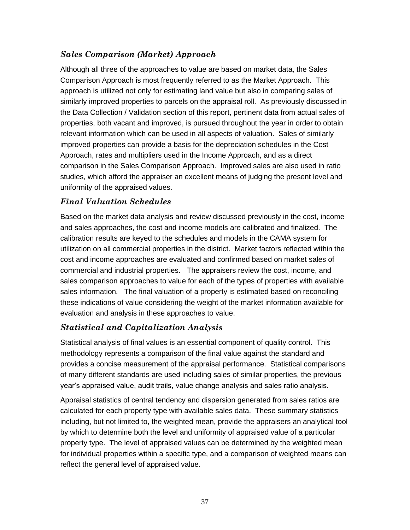# *Sales Comparison (Market) Approach*

Although all three of the approaches to value are based on market data, the Sales Comparison Approach is most frequently referred to as the Market Approach. This approach is utilized not only for estimating land value but also in comparing sales of similarly improved properties to parcels on the appraisal roll. As previously discussed in the Data Collection / Validation section of this report, pertinent data from actual sales of properties, both vacant and improved, is pursued throughout the year in order to obtain relevant information which can be used in all aspects of valuation. Sales of similarly improved properties can provide a basis for the depreciation schedules in the Cost Approach, rates and multipliers used in the Income Approach, and as a direct comparison in the Sales Comparison Approach. Improved sales are also used in ratio studies, which afford the appraiser an excellent means of judging the present level and uniformity of the appraised values.

# *Final Valuation Schedules*

Based on the market data analysis and review discussed previously in the cost, income and sales approaches, the cost and income models are calibrated and finalized. The calibration results are keyed to the schedules and models in the CAMA system for utilization on all commercial properties in the district. Market factors reflected within the cost and income approaches are evaluated and confirmed based on market sales of commercial and industrial properties. The appraisers review the cost, income, and sales comparison approaches to value for each of the types of properties with available sales information. The final valuation of a property is estimated based on reconciling these indications of value considering the weight of the market information available for evaluation and analysis in these approaches to value.

# *Statistical and Capitalization Analysis*

Statistical analysis of final values is an essential component of quality control. This methodology represents a comparison of the final value against the standard and provides a concise measurement of the appraisal performance. Statistical comparisons of many different standards are used including sales of similar properties, the previous year's appraised value, audit trails, value change analysis and sales ratio analysis.

Appraisal statistics of central tendency and dispersion generated from sales ratios are calculated for each property type with available sales data. These summary statistics including, but not limited to, the weighted mean, provide the appraisers an analytical tool by which to determine both the level and uniformity of appraised value of a particular property type. The level of appraised values can be determined by the weighted mean for individual properties within a specific type, and a comparison of weighted means can reflect the general level of appraised value.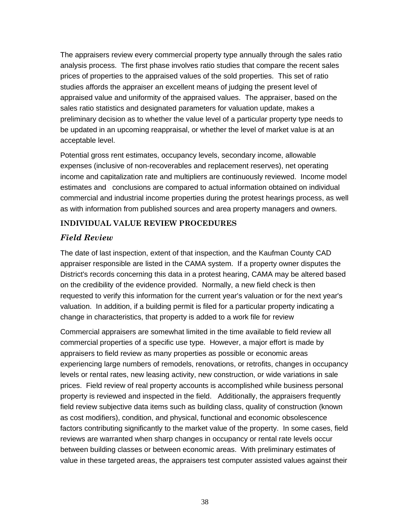The appraisers review every commercial property type annually through the sales ratio analysis process. The first phase involves ratio studies that compare the recent sales prices of properties to the appraised values of the sold properties. This set of ratio studies affords the appraiser an excellent means of judging the present level of appraised value and uniformity of the appraised values. The appraiser, based on the sales ratio statistics and designated parameters for valuation update, makes a preliminary decision as to whether the value level of a particular property type needs to be updated in an upcoming reappraisal, or whether the level of market value is at an acceptable level.

Potential gross rent estimates, occupancy levels, secondary income, allowable expenses (inclusive of non-recoverables and replacement reserves), net operating income and capitalization rate and multipliers are continuously reviewed. Income model estimates and conclusions are compared to actual information obtained on individual commercial and industrial income properties during the protest hearings process, as well as with information from published sources and area property managers and owners.

#### **INDIVIDUAL VALUE REVIEW PROCEDURES**

# *Field Review*

The date of last inspection, extent of that inspection, and the Kaufman County CAD appraiser responsible are listed in the CAMA system. If a property owner disputes the District's records concerning this data in a protest hearing, CAMA may be altered based on the credibility of the evidence provided. Normally, a new field check is then requested to verify this information for the current year's valuation or for the next year's valuation. In addition, if a building permit is filed for a particular property indicating a change in characteristics, that property is added to a work file for review

Commercial appraisers are somewhat limited in the time available to field review all commercial properties of a specific use type. However, a major effort is made by appraisers to field review as many properties as possible or economic areas experiencing large numbers of remodels, renovations, or retrofits, changes in occupancy levels or rental rates, new leasing activity, new construction, or wide variations in sale prices. Field review of real property accounts is accomplished while business personal property is reviewed and inspected in the field. Additionally, the appraisers frequently field review subjective data items such as building class, quality of construction (known as cost modifiers), condition, and physical, functional and economic obsolescence factors contributing significantly to the market value of the property. In some cases, field reviews are warranted when sharp changes in occupancy or rental rate levels occur between building classes or between economic areas. With preliminary estimates of value in these targeted areas, the appraisers test computer assisted values against their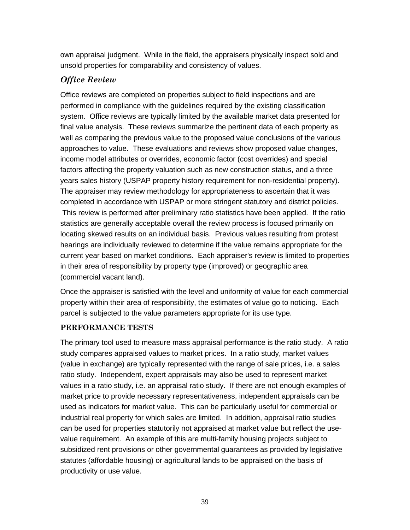own appraisal judgment. While in the field, the appraisers physically inspect sold and unsold properties for comparability and consistency of values.

# *Office Review*

Office reviews are completed on properties subject to field inspections and are performed in compliance with the guidelines required by the existing classification system. Office reviews are typically limited by the available market data presented for final value analysis. These reviews summarize the pertinent data of each property as well as comparing the previous value to the proposed value conclusions of the various approaches to value. These evaluations and reviews show proposed value changes, income model attributes or overrides, economic factor (cost overrides) and special factors affecting the property valuation such as new construction status, and a three years sales history (USPAP property history requirement for non-residential property). The appraiser may review methodology for appropriateness to ascertain that it was completed in accordance with USPAP or more stringent statutory and district policies. This review is performed after preliminary ratio statistics have been applied. If the ratio statistics are generally acceptable overall the review process is focused primarily on locating skewed results on an individual basis. Previous values resulting from protest hearings are individually reviewed to determine if the value remains appropriate for the current year based on market conditions. Each appraiser's review is limited to properties in their area of responsibility by property type (improved) or geographic area (commercial vacant land).

Once the appraiser is satisfied with the level and uniformity of value for each commercial property within their area of responsibility, the estimates of value go to noticing. Each parcel is subjected to the value parameters appropriate for its use type.

#### **PERFORMANCE TESTS**

The primary tool used to measure mass appraisal performance is the ratio study. A ratio study compares appraised values to market prices. In a ratio study, market values (value in exchange) are typically represented with the range of sale prices, i.e. a sales ratio study. Independent, expert appraisals may also be used to represent market values in a ratio study, i.e. an appraisal ratio study. If there are not enough examples of market price to provide necessary representativeness, independent appraisals can be used as indicators for market value. This can be particularly useful for commercial or industrial real property for which sales are limited. In addition, appraisal ratio studies can be used for properties statutorily not appraised at market value but reflect the usevalue requirement. An example of this are multi-family housing projects subject to subsidized rent provisions or other governmental guarantees as provided by legislative statutes (affordable housing) or agricultural lands to be appraised on the basis of productivity or use value.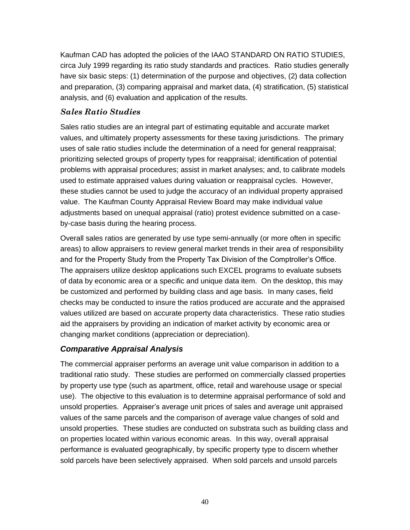Kaufman CAD has adopted the policies of the IAAO STANDARD ON RATIO STUDIES, circa July 1999 regarding its ratio study standards and practices. Ratio studies generally have six basic steps: (1) determination of the purpose and objectives, (2) data collection and preparation, (3) comparing appraisal and market data, (4) stratification, (5) statistical analysis, and (6) evaluation and application of the results.

#### *Sales Ratio Studies*

Sales ratio studies are an integral part of estimating equitable and accurate market values, and ultimately property assessments for these taxing jurisdictions. The primary uses of sale ratio studies include the determination of a need for general reappraisal; prioritizing selected groups of property types for reappraisal; identification of potential problems with appraisal procedures; assist in market analyses; and, to calibrate models used to estimate appraised values during valuation or reappraisal cycles. However, these studies cannot be used to judge the accuracy of an individual property appraised value. The Kaufman County Appraisal Review Board may make individual value adjustments based on unequal appraisal (ratio) protest evidence submitted on a caseby-case basis during the hearing process.

Overall sales ratios are generated by use type semi-annually (or more often in specific areas) to allow appraisers to review general market trends in their area of responsibility and for the Property Study from the Property Tax Division of the Comptroller's Office. The appraisers utilize desktop applications such EXCEL programs to evaluate subsets of data by economic area or a specific and unique data item. On the desktop, this may be customized and performed by building class and age basis. In many cases, field checks may be conducted to insure the ratios produced are accurate and the appraised values utilized are based on accurate property data characteristics. These ratio studies aid the appraisers by providing an indication of market activity by economic area or changing market conditions (appreciation or depreciation).

# *Comparative Appraisal Analysis*

The commercial appraiser performs an average unit value comparison in addition to a traditional ratio study. These studies are performed on commercially classed properties by property use type (such as apartment, office, retail and warehouse usage or special use). The objective to this evaluation is to determine appraisal performance of sold and unsold properties. Appraiser's average unit prices of sales and average unit appraised values of the same parcels and the comparison of average value changes of sold and unsold properties. These studies are conducted on substrata such as building class and on properties located within various economic areas. In this way, overall appraisal performance is evaluated geographically, by specific property type to discern whether sold parcels have been selectively appraised. When sold parcels and unsold parcels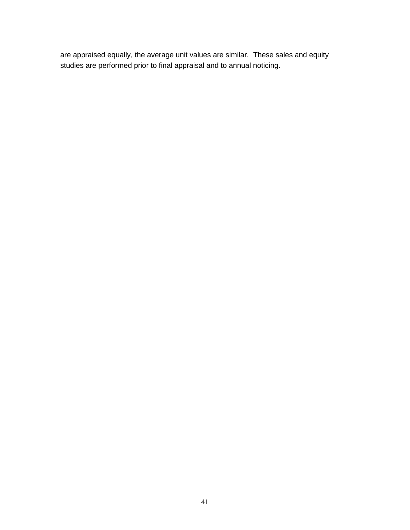are appraised equally, the average unit values are similar. These sales and equity studies are performed prior to final appraisal and to annual noticing.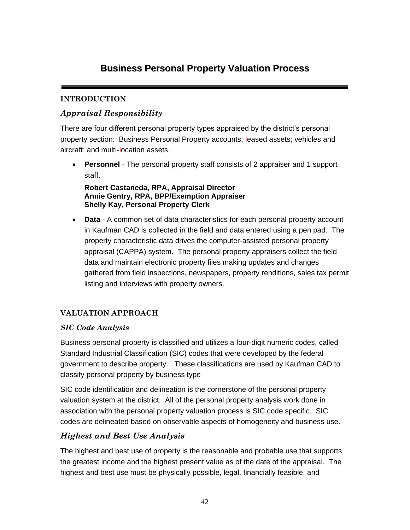# **Business Personal Property Valuation Process**

# **INTRODUCTION**

# *Appraisal Responsibility*

There are four different personal property types appraised by the district's personal property section: Business Personal Property accounts; leased assets; vehicles and aircraft; and multi-location assets.

• **Personnel** *-* The personal property staff consists of 2 appraiser and 1 support staff.

**Robert Castaneda, RPA, Appraisal Director Annie Gentry, RPA, BPP/Exemption Appraiser Shelly Kay, Personal Property Clerk**

• **Data** - A common set of data characteristics for each personal property account in Kaufman CAD is collected in the field and data entered using a pen pad. The property characteristic data drives the computer-assisted personal property appraisal (CAPPA) system. The personal property appraisers collect the field data and maintain electronic property files making updates and changes gathered from field inspections, newspapers, property renditions, sales tax permit listing and interviews with property owners.

# **VALUATION APPROACH**

# *SIC Code Analysis*

Business personal property is classified and utilizes a four-digit numeric codes, called Standard Industrial Classification (SIC) codes that were developed by the federal government to describe property. These classifications are used by Kaufman CAD to classify personal property by business type

SIC code identification and delineation is the cornerstone of the personal property valuation system at the district. All of the personal property analysis work done in association with the personal property valuation process is SIC code specific. SIC codes are delineated based on observable aspects of homogeneity and business use.

# *Highest and Best Use Analysis*

The highest and best use of property is the reasonable and probable use that supports the greatest income and the highest present value as of the date of the appraisal. The highest and best use must be physically possible, legal, financially feasible, and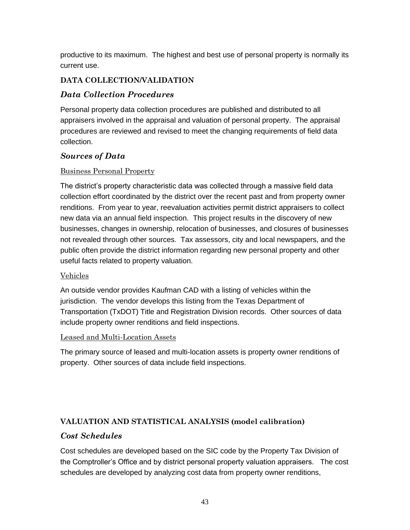productive to its maximum. The highest and best use of personal property is normally its current use.

# **DATA COLLECTION/VALIDATION**

# *Data Collection Procedures*

Personal property data collection procedures are published and distributed to all appraisers involved in the appraisal and valuation of personal property. The appraisal procedures are reviewed and revised to meet the changing requirements of field data collection.

# *Sources of Data*

#### Business Personal Property

The district's property characteristic data was collected through a massive field data collection effort coordinated by the district over the recent past and from property owner renditions. From year to year, reevaluation activities permit district appraisers to collect new data via an annual field inspection. This project results in the discovery of new businesses, changes in ownership, relocation of businesses, and closures of businesses not revealed through other sources. Tax assessors, city and local newspapers, and the public often provide the district information regarding new personal property and other useful facts related to property valuation.

#### Vehicles

An outside vendor provides Kaufman CAD with a listing of vehicles within the jurisdiction. The vendor develops this listing from the Texas Department of Transportation (TxDOT) Title and Registration Division records. Other sources of data include property owner renditions and field inspections.

#### Leased and Multi-Location Assets

The primary source of leased and multi-location assets is property owner renditions of property. Other sources of data include field inspections.

# **VALUATION AND STATISTICAL ANALYSIS (model calibration)**

# *Cost Schedules*

Cost schedules are developed based on the SIC code by the Property Tax Division of the Comptroller's Office and by district personal property valuation appraisers. The cost schedules are developed by analyzing cost data from property owner renditions,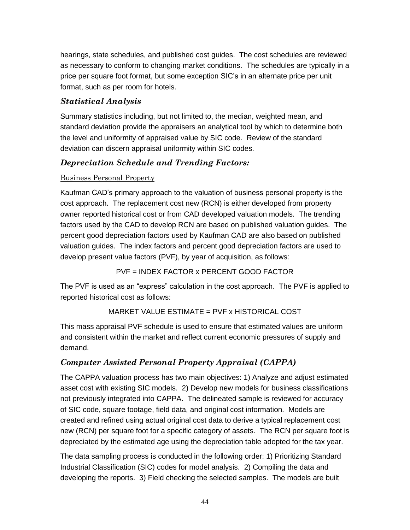hearings, state schedules, and published cost guides. The cost schedules are reviewed as necessary to conform to changing market conditions. The schedules are typically in a price per square foot format, but some exception SIC's in an alternate price per unit format, such as per room for hotels.

# *Statistical Analysis*

Summary statistics including, but not limited to, the median, weighted mean, and standard deviation provide the appraisers an analytical tool by which to determine both the level and uniformity of appraised value by SIC code. Review of the standard deviation can discern appraisal uniformity within SIC codes.

# *Depreciation Schedule and Trending Factors:*

# Business Personal Property

Kaufman CAD's primary approach to the valuation of business personal property is the cost approach. The replacement cost new (RCN) is either developed from property owner reported historical cost or from CAD developed valuation models. The trending factors used by the CAD to develop RCN are based on published valuation guides. The percent good depreciation factors used by Kaufman CAD are also based on published valuation guides. The index factors and percent good depreciation factors are used to develop present value factors (PVF), by year of acquisition, as follows:

PVF = INDEX FACTOR x PERCENT GOOD FACTOR

The PVF is used as an "express" calculation in the cost approach. The PVF is applied to reported historical cost as follows:

# MARKET VALUE ESTIMATE = PVF x HISTORICAL COST

This mass appraisal PVF schedule is used to ensure that estimated values are uniform and consistent within the market and reflect current economic pressures of supply and demand.

# *Computer Assisted Personal Property Appraisal (CAPPA)*

The CAPPA valuation process has two main objectives: 1) Analyze and adjust estimated asset cost with existing SIC models. 2) Develop new models for business classifications not previously integrated into CAPPA. The delineated sample is reviewed for accuracy of SIC code, square footage, field data, and original cost information. Models are created and refined using actual original cost data to derive a typical replacement cost new (RCN) per square foot for a specific category of assets. The RCN per square foot is depreciated by the estimated age using the depreciation table adopted for the tax year.

The data sampling process is conducted in the following order: 1) Prioritizing Standard Industrial Classification (SIC) codes for model analysis. 2) Compiling the data and developing the reports. 3) Field checking the selected samples. The models are built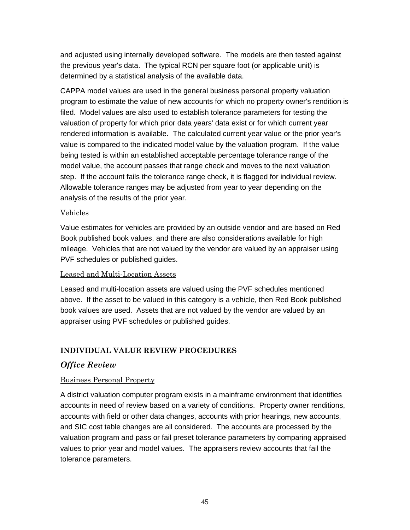and adjusted using internally developed software. The models are then tested against the previous year's data. The typical RCN per square foot (or applicable unit) is determined by a statistical analysis of the available data.

CAPPA model values are used in the general business personal property valuation program to estimate the value of new accounts for which no property owner's rendition is filed. Model values are also used to establish tolerance parameters for testing the valuation of property for which prior data years' data exist or for which current year rendered information is available. The calculated current year value or the prior year's value is compared to the indicated model value by the valuation program. If the value being tested is within an established acceptable percentage tolerance range of the model value, the account passes that range check and moves to the next valuation step. If the account fails the tolerance range check, it is flagged for individual review. Allowable tolerance ranges may be adjusted from year to year depending on the analysis of the results of the prior year.

#### Vehicles

Value estimates for vehicles are provided by an outside vendor and are based on Red Book published book values, and there are also considerations available for high mileage. Vehicles that are not valued by the vendor are valued by an appraiser using PVF schedules or published guides.

#### Leased and Multi-Location Assets

Leased and multi-location assets are valued using the PVF schedules mentioned above. If the asset to be valued in this category is a vehicle, then Red Book published book values are used. Assets that are not valued by the vendor are valued by an appraiser using PVF schedules or published guides.

#### **INDIVIDUAL VALUE REVIEW PROCEDURES**

# *Office Review*

#### Business Personal Property

A district valuation computer program exists in a mainframe environment that identifies accounts in need of review based on a variety of conditions. Property owner renditions, accounts with field or other data changes, accounts with prior hearings, new accounts, and SIC cost table changes are all considered. The accounts are processed by the valuation program and pass or fail preset tolerance parameters by comparing appraised values to prior year and model values. The appraisers review accounts that fail the tolerance parameters.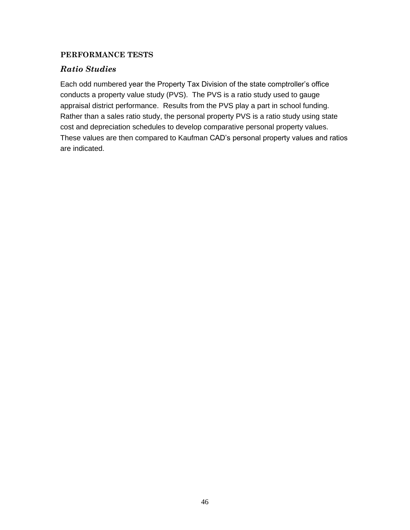#### **PERFORMANCE TESTS**

# *Ratio Studies*

Each odd numbered year the Property Tax Division of the state comptroller's office conducts a property value study (PVS). The PVS is a ratio study used to gauge appraisal district performance. Results from the PVS play a part in school funding. Rather than a sales ratio study, the personal property PVS is a ratio study using state cost and depreciation schedules to develop comparative personal property values. These values are then compared to Kaufman CAD's personal property values and ratios are indicated.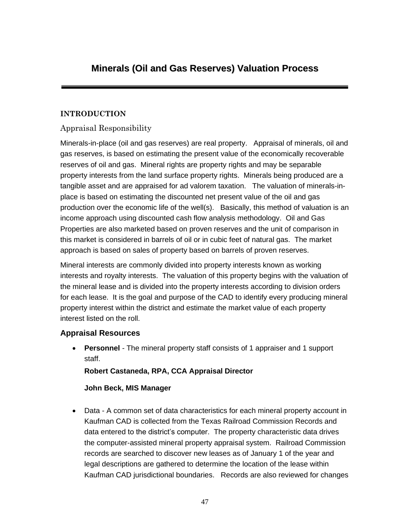# **Minerals (Oil and Gas Reserves) Valuation Process**

# **INTRODUCTION**

# Appraisal Responsibility

Minerals-in-place (oil and gas reserves) are real property. Appraisal of minerals, oil and gas reserves, is based on estimating the present value of the economically recoverable reserves of oil and gas. Mineral rights are property rights and may be separable property interests from the land surface property rights. Minerals being produced are a tangible asset and are appraised for ad valorem taxation. The valuation of minerals-inplace is based on estimating the discounted net present value of the oil and gas production over the economic life of the well(s). Basically, this method of valuation is an income approach using discounted cash flow analysis methodology. Oil and Gas Properties are also marketed based on proven reserves and the unit of comparison in this market is considered in barrels of oil or in cubic feet of natural gas. The market approach is based on sales of property based on barrels of proven reserves.

Mineral interests are commonly divided into property interests known as working interests and royalty interests. The valuation of this property begins with the valuation of the mineral lease and is divided into the property interests according to division orders for each lease. It is the goal and purpose of the CAD to identify every producing mineral property interest within the district and estimate the market value of each property interest listed on the roll.

# **Appraisal Resources**

• **Personnel** *-* The mineral property staff consists of 1 appraiser and 1 support staff.

**Robert Castaneda, RPA, CCA Appraisal Director**

#### **John Beck, MIS Manager**

• Data - A common set of data characteristics for each mineral property account in Kaufman CAD is collected from the Texas Railroad Commission Records and data entered to the district's computer. The property characteristic data drives the computer-assisted mineral property appraisal system. Railroad Commission records are searched to discover new leases as of January 1 of the year and legal descriptions are gathered to determine the location of the lease within Kaufman CAD jurisdictional boundaries. Records are also reviewed for changes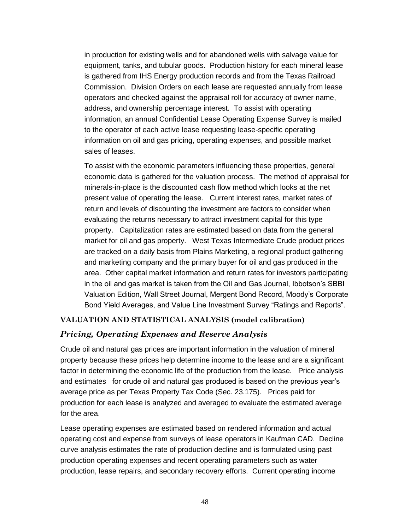in production for existing wells and for abandoned wells with salvage value for equipment, tanks, and tubular goods. Production history for each mineral lease is gathered from IHS Energy production records and from the Texas Railroad Commission. Division Orders on each lease are requested annually from lease operators and checked against the appraisal roll for accuracy of owner name, address, and ownership percentage interest. To assist with operating information, an annual Confidential Lease Operating Expense Survey is mailed to the operator of each active lease requesting lease-specific operating information on oil and gas pricing, operating expenses, and possible market sales of leases.

To assist with the economic parameters influencing these properties, general economic data is gathered for the valuation process. The method of appraisal for minerals-in-place is the discounted cash flow method which looks at the net present value of operating the lease. Current interest rates, market rates of return and levels of discounting the investment are factors to consider when evaluating the returns necessary to attract investment capital for this type property. Capitalization rates are estimated based on data from the general market for oil and gas property. West Texas Intermediate Crude product prices are tracked on a daily basis from Plains Marketing, a regional product gathering and marketing company and the primary buyer for oil and gas produced in the area. Other capital market information and return rates for investors participating in the oil and gas market is taken from the Oil and Gas Journal, Ibbotson's SBBI Valuation Edition, Wall Street Journal, Mergent Bond Record, Moody's Corporate Bond Yield Averages, and Value Line Investment Survey "Ratings and Reports".

#### **VALUATION AND STATISTICAL ANALYSIS (model calibration)**

#### *Pricing, Operating Expenses and Reserve Analysis*

Crude oil and natural gas prices are important information in the valuation of mineral property because these prices help determine income to the lease and are a significant factor in determining the economic life of the production from the lease. Price analysis and estimates for crude oil and natural gas produced is based on the previous year's average price as per Texas Property Tax Code (Sec. 23.175). Prices paid for production for each lease is analyzed and averaged to evaluate the estimated average for the area.

Lease operating expenses are estimated based on rendered information and actual operating cost and expense from surveys of lease operators in Kaufman CAD. Decline curve analysis estimates the rate of production decline and is formulated using past production operating expenses and recent operating parameters such as water production, lease repairs, and secondary recovery efforts. Current operating income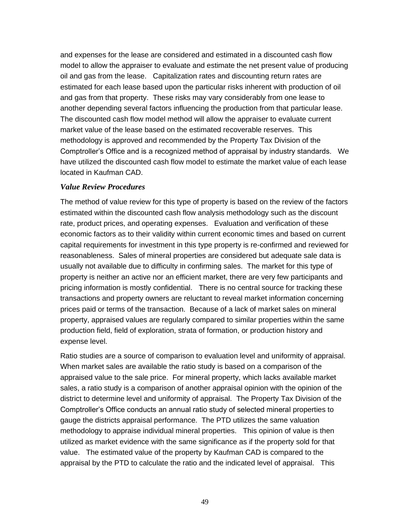and expenses for the lease are considered and estimated in a discounted cash flow model to allow the appraiser to evaluate and estimate the net present value of producing oil and gas from the lease. Capitalization rates and discounting return rates are estimated for each lease based upon the particular risks inherent with production of oil and gas from that property. These risks may vary considerably from one lease to another depending several factors influencing the production from that particular lease. The discounted cash flow model method will allow the appraiser to evaluate current market value of the lease based on the estimated recoverable reserves. This methodology is approved and recommended by the Property Tax Division of the Comptroller's Office and is a recognized method of appraisal by industry standards. We have utilized the discounted cash flow model to estimate the market value of each lease located in Kaufman CAD.

#### *Value Review Procedures*

The method of value review for this type of property is based on the review of the factors estimated within the discounted cash flow analysis methodology such as the discount rate, product prices, and operating expenses. Evaluation and verification of these economic factors as to their validity within current economic times and based on current capital requirements for investment in this type property is re-confirmed and reviewed for reasonableness. Sales of mineral properties are considered but adequate sale data is usually not available due to difficulty in confirming sales. The market for this type of property is neither an active nor an efficient market, there are very few participants and pricing information is mostly confidential. There is no central source for tracking these transactions and property owners are reluctant to reveal market information concerning prices paid or terms of the transaction. Because of a lack of market sales on mineral property, appraised values are regularly compared to similar properties within the same production field, field of exploration, strata of formation, or production history and expense level.

Ratio studies are a source of comparison to evaluation level and uniformity of appraisal. When market sales are available the ratio study is based on a comparison of the appraised value to the sale price. For mineral property, which lacks available market sales, a ratio study is a comparison of another appraisal opinion with the opinion of the district to determine level and uniformity of appraisal. The Property Tax Division of the Comptroller's Office conducts an annual ratio study of selected mineral properties to gauge the districts appraisal performance. The PTD utilizes the same valuation methodology to appraise individual mineral properties. This opinion of value is then utilized as market evidence with the same significance as if the property sold for that value. The estimated value of the property by Kaufman CAD is compared to the appraisal by the PTD to calculate the ratio and the indicated level of appraisal. This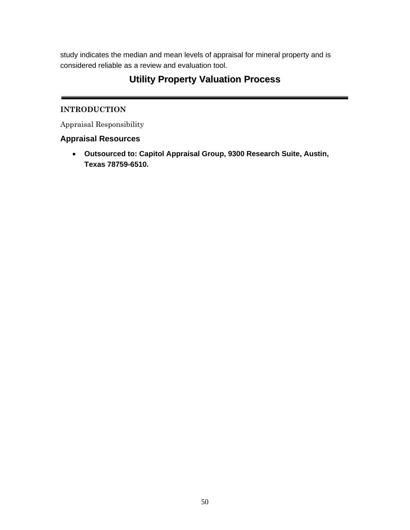study indicates the median and mean levels of appraisal for mineral property and is considered reliable as a review and evaluation tool.

# **Utility Property Valuation Process**

#### **INTRODUCTION**

Appraisal Responsibility

# **Appraisal Resources**

• **Outsourced to: Capitol Appraisal Group, 9300 Research Suite, Austin, Texas 78759-6510.**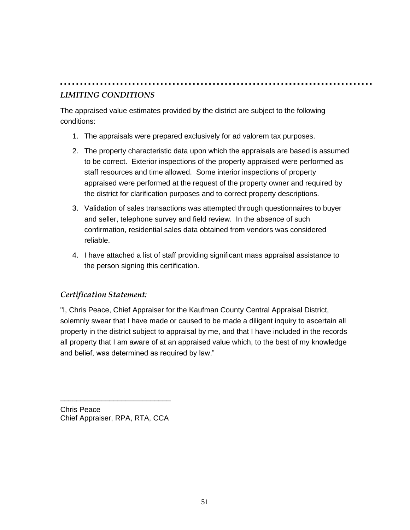# *LIMITING CONDITIONS*

The appraised value estimates provided by the district are subject to the following conditions:

- 1. The appraisals were prepared exclusively for ad valorem tax purposes.
- 2. The property characteristic data upon which the appraisals are based is assumed to be correct. Exterior inspections of the property appraised were performed as staff resources and time allowed. Some interior inspections of property appraised were performed at the request of the property owner and required by the district for clarification purposes and to correct property descriptions.
- 3. Validation of sales transactions was attempted through questionnaires to buyer and seller, telephone survey and field review. In the absence of such confirmation, residential sales data obtained from vendors was considered reliable.
- 4. I have attached a list of staff providing significant mass appraisal assistance to the person signing this certification.

# *Certification Statement:*

"I, Chris Peace, Chief Appraiser for the Kaufman County Central Appraisal District, solemnly swear that I have made or caused to be made a diligent inquiry to ascertain all property in the district subject to appraisal by me, and that I have included in the records all property that I am aware of at an appraised value which, to the best of my knowledge and belief, was determined as required by law."

Chris Peace Chief Appraiser, RPA, RTA, CCA

\_\_\_\_\_\_\_\_\_\_\_\_\_\_\_\_\_\_\_\_\_\_\_\_\_\_\_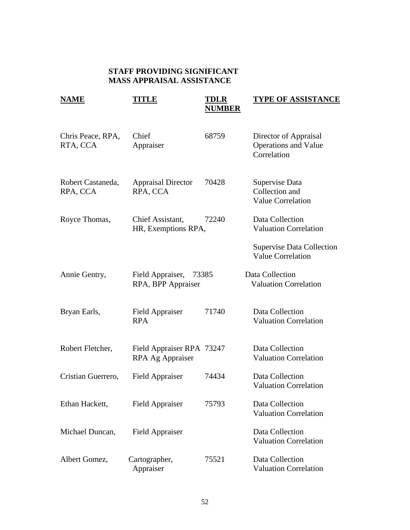# **STAFF PROVIDING SIGNIFICANT MASS APPRAISAL ASSISTANCE**

| <b>NAME</b>                   | TITLE                                         | TDLR<br><b>NUMBER</b> | <b>TYPE OF ASSISTANCE</b>                                           |
|-------------------------------|-----------------------------------------------|-----------------------|---------------------------------------------------------------------|
| Chris Peace, RPA,<br>RTA, CCA | Chief<br>Appraiser                            | 68759                 | Director of Appraisal<br><b>Operations and Value</b><br>Correlation |
| Robert Castaneda,<br>RPA, CCA | <b>Appraisal Director</b><br>RPA, CCA         | 70428                 | Supervise Data<br>Collection and<br><b>Value Correlation</b>        |
| Royce Thomas,                 | Chief Assistant,<br>HR, Exemptions RPA,       | 72240                 | Data Collection<br><b>Valuation Correlation</b>                     |
|                               |                                               |                       | <b>Supervise Data Collection</b><br><b>Value Correlation</b>        |
| Annie Gentry,                 | Field Appraiser,<br>RPA, BPP Appraiser        | 73385                 | Data Collection<br><b>Valuation Correlation</b>                     |
| Bryan Earls,                  | <b>Field Appraiser</b><br><b>RPA</b>          | 71740                 | Data Collection<br><b>Valuation Correlation</b>                     |
| Robert Fletcher,              | Field Appraiser RPA 73247<br>RPA Ag Appraiser |                       | Data Collection<br><b>Valuation Correlation</b>                     |
| Cristian Guerrero,            | <b>Field Appraiser</b>                        | 74434                 | Data Collection<br><b>Valuation Correlation</b>                     |
| Ethan Hackett,                | <b>Field Appraiser</b>                        | 75793                 | Data Collection<br><b>Valuation Correlation</b>                     |
| Michael Duncan,               | <b>Field Appraiser</b>                        |                       | Data Collection<br><b>Valuation Correlation</b>                     |
| Albert Gomez,                 | Cartographer,<br>Appraiser                    | 75521                 | Data Collection<br><b>Valuation Correlation</b>                     |